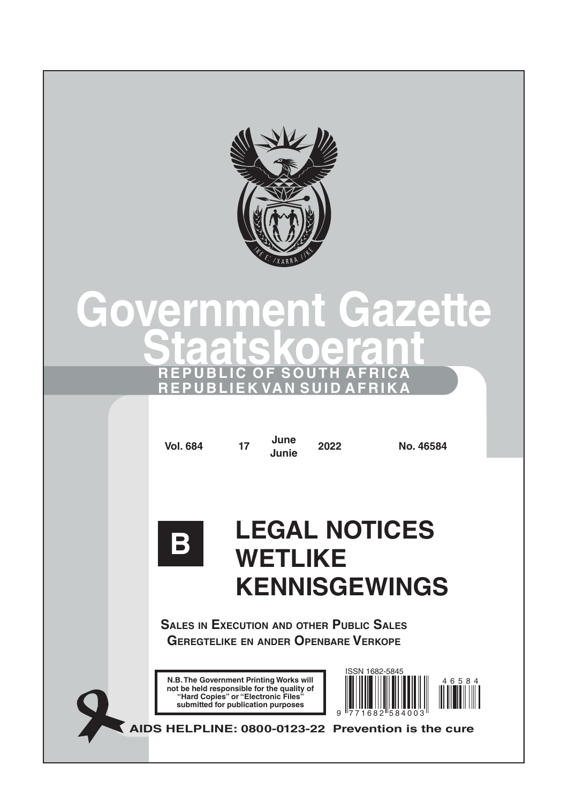

# **Government Gazette Staatskoerant REPUBLIC OF SOUTH AFRICA REPUBLIEK VAN SUID AFRIKA**

**Vol. 684 <sup>17</sup> June**

**Junie <sup>2022</sup> No. 46584**



# **LEGAL NOTICES WETLIKE KENNISGEWINGS**

**Sales in Execution and other Public Sales Geregtelike en ander Openbare Verkope**

**N.B. The Government Printing Works will not be held responsible for the quality of "Hard Copies" or "Electronic Files" submitted for publication purposes**



**AIDS HELPLINE: 0800-0123-22 Prevention is the cure**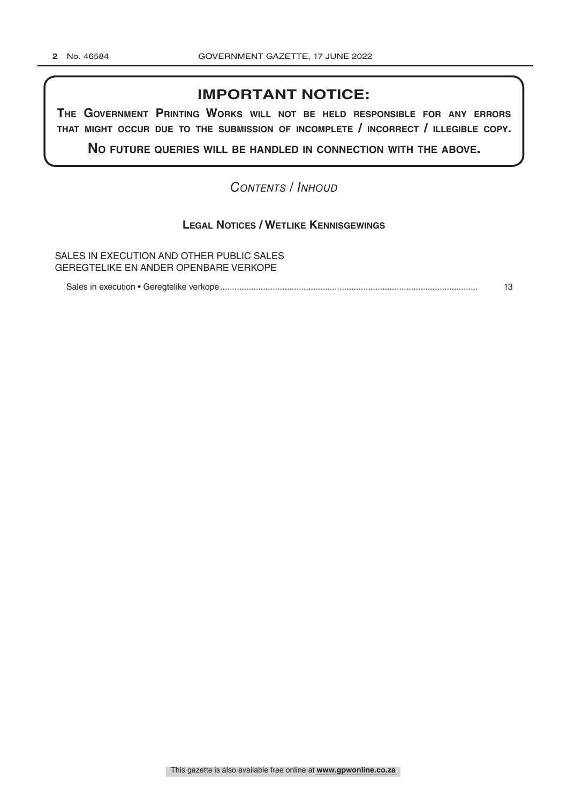## **IMPORTANT NOTICE:**

**The GovernmenT PrinTinG Works Will noT be held resPonsible for any errors ThaT miGhT occur due To The submission of incomPleTe / incorrecT / illeGible coPy.**

**no fuTure queries Will be handled in connecTion WiTh The above.**

## *Contents / Inhoud*

## **Legal Notices / Wetlike Kennisgewings**

SALES IN EXECUTION AND OTHER PUBLIC SALES GEREGTELIKE EN ANDER OPENBARE VERKOPE

Sales in execution • Geregtelike verkope............................................................................................................ 13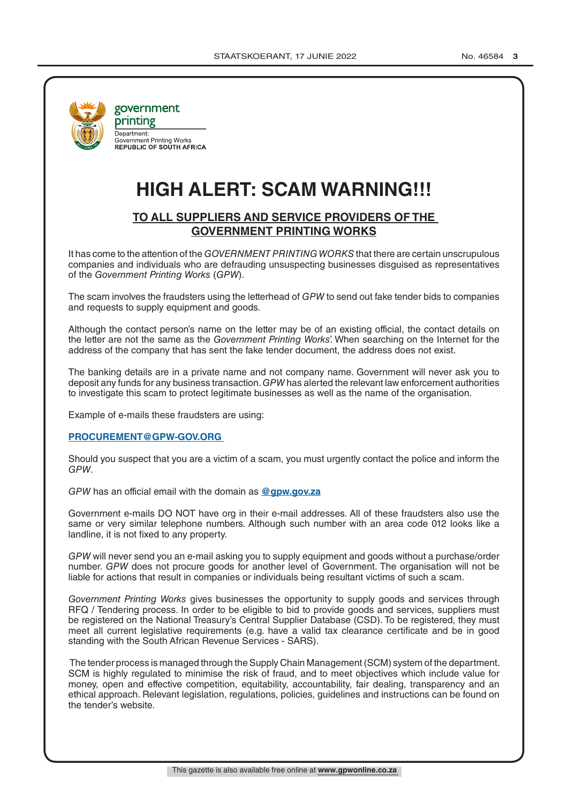

government printing Department:<br>Government Printing Works **REPUBLIC OF SOUTH AFRICA** 

## **HIGH ALERT: SCAM WARNING!!!**

## **TO ALL SUPPLIERS AND SERVICE PROVIDERS OF THE GOVERNMENT PRINTING WORKS**

It has come to the attention of the *GOVERNMENT PRINTING WORKS* that there are certain unscrupulous companies and individuals who are defrauding unsuspecting businesses disguised as representatives of the *Government Printing Works* (*GPW*).

The scam involves the fraudsters using the letterhead of *GPW* to send out fake tender bids to companies and requests to supply equipment and goods.

Although the contact person's name on the letter may be of an existing official, the contact details on the letter are not the same as the *Government Printing Works*'. When searching on the Internet for the address of the company that has sent the fake tender document, the address does not exist.

The banking details are in a private name and not company name. Government will never ask you to deposit any funds for any business transaction. *GPW* has alerted the relevant law enforcement authorities to investigate this scam to protect legitimate businesses as well as the name of the organisation.

Example of e-mails these fraudsters are using:

## **PROCUREMENT@GPW-GOV.ORG**

Should you suspect that you are a victim of a scam, you must urgently contact the police and inform the *GPW*.

*GPW* has an official email with the domain as **@gpw.gov.za**

Government e-mails DO NOT have org in their e-mail addresses. All of these fraudsters also use the same or very similar telephone numbers. Although such number with an area code 012 looks like a landline, it is not fixed to any property.

*GPW* will never send you an e-mail asking you to supply equipment and goods without a purchase/order number. *GPW* does not procure goods for another level of Government. The organisation will not be liable for actions that result in companies or individuals being resultant victims of such a scam.

*Government Printing Works* gives businesses the opportunity to supply goods and services through RFQ / Tendering process. In order to be eligible to bid to provide goods and services, suppliers must be registered on the National Treasury's Central Supplier Database (CSD). To be registered, they must meet all current legislative requirements (e.g. have a valid tax clearance certificate and be in good standing with the South African Revenue Services - SARS).

 The tender process is managed through the Supply Chain Management (SCM) system of the department. SCM is highly regulated to minimise the risk of fraud, and to meet objectives which include value for money, open and effective competition, equitability, accountability, fair dealing, transparency and an ethical approach. Relevant legislation, regulations, policies, guidelines and instructions can be found on the tender's website.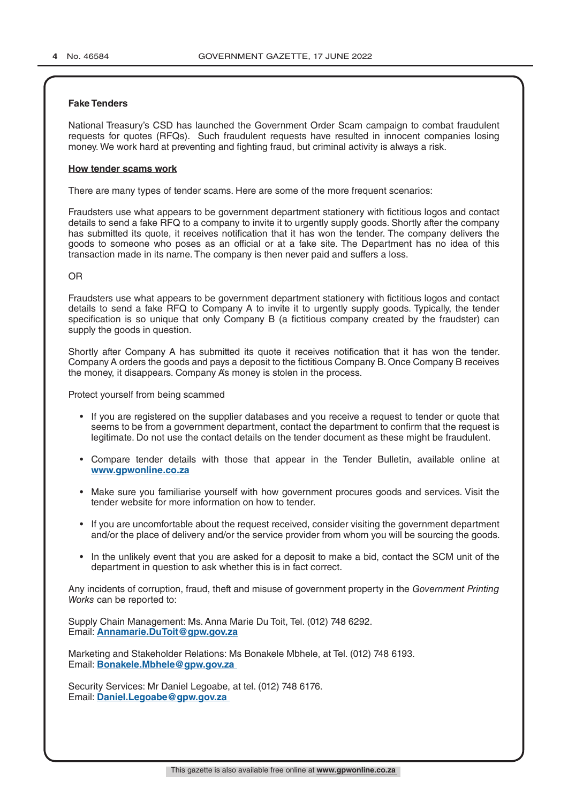## **Fake Tenders**

National Treasury's CSD has launched the Government Order Scam campaign to combat fraudulent requests for quotes (RFQs). Such fraudulent requests have resulted in innocent companies losing money. We work hard at preventing and fighting fraud, but criminal activity is always a risk.

## **How tender scams work**

There are many types of tender scams. Here are some of the more frequent scenarios:

Fraudsters use what appears to be government department stationery with fictitious logos and contact details to send a fake RFQ to a company to invite it to urgently supply goods. Shortly after the company has submitted its quote, it receives notification that it has won the tender. The company delivers the goods to someone who poses as an official or at a fake site. The Department has no idea of this transaction made in its name. The company is then never paid and suffers a loss.

## OR

Fraudsters use what appears to be government department stationery with fictitious logos and contact details to send a fake RFQ to Company A to invite it to urgently supply goods. Typically, the tender specification is so unique that only Company B (a fictitious company created by the fraudster) can supply the goods in question.

Shortly after Company A has submitted its quote it receives notification that it has won the tender. Company A orders the goods and pays a deposit to the fictitious Company B. Once Company B receives the money, it disappears. Company A's money is stolen in the process.

Protect yourself from being scammed

- If you are registered on the supplier databases and you receive a request to tender or quote that seems to be from a government department, contact the department to confirm that the request is legitimate. Do not use the contact details on the tender document as these might be fraudulent.
- Compare tender details with those that appear in the Tender Bulletin, available online at **www.gpwonline.co.za**
- Make sure you familiarise yourself with how government procures goods and services. Visit the tender website for more information on how to tender.
- If you are uncomfortable about the request received, consider visiting the government department and/or the place of delivery and/or the service provider from whom you will be sourcing the goods.
- In the unlikely event that you are asked for a deposit to make a bid, contact the SCM unit of the department in question to ask whether this is in fact correct.

Any incidents of corruption, fraud, theft and misuse of government property in the *Government Printing Works* can be reported to:

Supply Chain Management: Ms. Anna Marie Du Toit, Tel. (012) 748 6292. Email: **Annamarie.DuToit@gpw.gov.za**

Marketing and Stakeholder Relations: Ms Bonakele Mbhele, at Tel. (012) 748 6193. Email: **Bonakele.Mbhele@gpw.gov.za** 

Security Services: Mr Daniel Legoabe, at tel. (012) 748 6176. Email: **Daniel.Legoabe@gpw.gov.za**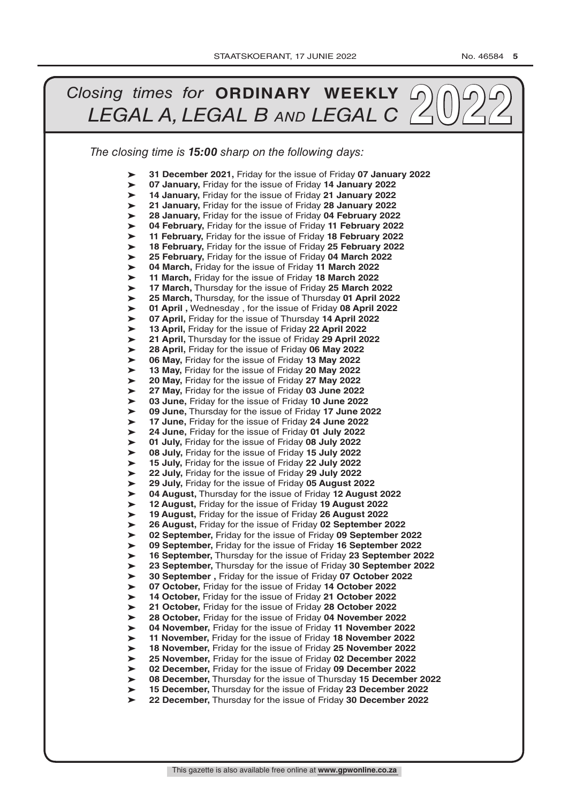#### *The closing time is 15:00 sharp on the following days: Closing times for* **<b>ORDINARY WEEKLY** 20022 ➤ ➤ ➤ ➤ ➤ ➤ ➤ ➤ ➤ ➤ ➤ ➤ ➤ ➤ ➤ ➤ ➤ ➤ ➤ ➤ ➤ ➤ ➤ ➤ ➤ ➤ ➤ ➤ ➤ ➤ ➤ ➤ ➤ ➤ ➤ ➤ ➤ ➤ ➤ ➤ ➤ ➤ ➤ ➤ ➤ ➤ ➤ ➤ ➤ ➤ ➤ ➤ **31 December 2021,** Friday for the issue of Friday **07 January 2022 07 January,** Friday for the issue of Friday **14 January 2022 14 January,** Friday for the issue of Friday **21 January 2022 21 January,** Friday for the issue of Friday **28 January 2022 28 January,** Friday for the issue of Friday **04 February 2022 04 February,** Friday for the issue of Friday **11 February 2022 11 February,** Friday for the issue of Friday **18 February 2022 18 February,** Friday for the issue of Friday **25 February 2022 25 February,** Friday for the issue of Friday **04 March 2022 04 March,** Friday for the issue of Friday **11 March 2022 11 March,** Friday for the issue of Friday **18 March 2022 17 March,** Thursday for the issue of Friday **25 March 2022 25 March,** Thursday, for the issue of Thursday **01 April 2022 01 April ,** Wednesday , for the issue of Friday **08 April 2022 07 April,** Friday for the issue of Thursday **14 April 2022 13 April,** Friday for the issue of Friday **22 April 2022 21 April,** Thursday for the issue of Friday **29 April 2022 28 April,** Friday for the issue of Friday **06 May 2022 06 May,** Friday for the issue of Friday **13 May 2022 13 May,** Friday for the issue of Friday **20 May 2022 20 May,** Friday for the issue of Friday **27 May 2022 27 May,** Friday for the issue of Friday **03 June 2022 03 June,** Friday for the issue of Friday **10 June 2022 09 June,** Thursday for the issue of Friday **17 June 2022 17 June,** Friday for the issue of Friday **24 June 2022 24 June,** Friday for the issue of Friday **01 July 2022 01 July,** Friday for the issue of Friday **08 July 2022 08 July,** Friday for the issue of Friday **15 July 2022 15 July,** Friday for the issue of Friday **22 July 2022 22 July,** Friday for the issue of Friday **29 July 2022 29 July,** Friday for the issue of Friday **05 August 2022 04 August,** Thursday for the issue of Friday **12 August 2022 12 August,** Friday for the issue of Friday **19 August 2022 19 August,** Friday for the issue of Friday **26 August 2022 26 August,** Friday for the issue of Friday **02 September 2022 02 September,** Friday for the issue of Friday **09 September 2022 09 September,** Friday for the issue of Friday **16 September 2022 16 September,** Thursday for the issue of Friday **23 September 2022 23 September,** Thursday for the issue of Friday **30 September 2022 30 September ,** Friday for the issue of Friday **07 October 2022 07 October,** Friday for the issue of Friday **14 October 2022 14 October,** Friday for the issue of Friday **21 October 2022 21 October,** Friday for the issue of Friday **28 October 2022 28 October,** Friday for the issue of Friday **04 November 2022 04 November,** Friday for the issue of Friday **11 November 2022 11 November,** Friday for the issue of Friday **18 November 2022 18 November,** Friday for the issue of Friday **25 November 2022 25 November,** Friday for the issue of Friday **02 December 2022 02 December,** Friday for the issue of Friday **09 December 2022 08 December,** Thursday for the issue of Thursday **15 December 2022 15 December,** Thursday for the issue of Friday **23 December 2022 22 December,** Thursday for the issue of Friday **30 December 2022**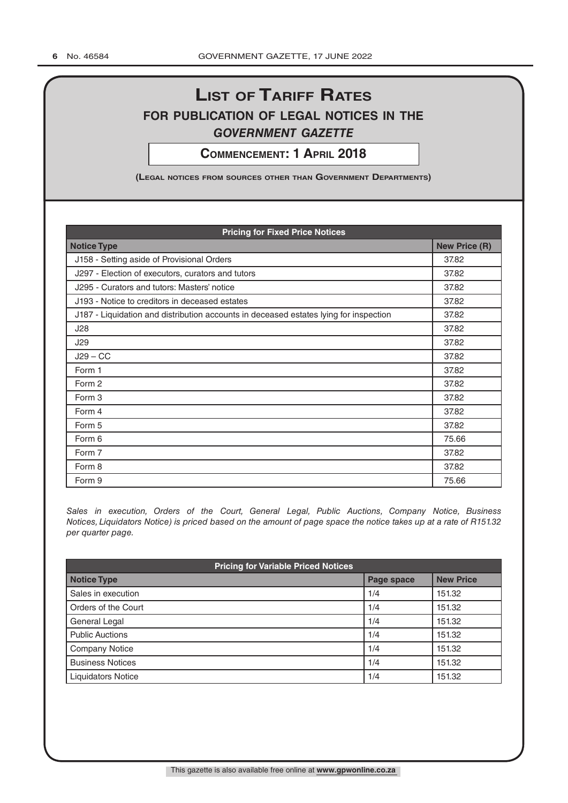## **List of tariff rates for pubLication of LegaL notices in the** *government gazette*

**commencement: 1 apriL 2018**

**(LegaL notices from sources other than government Departments)**

| <b>Pricing for Fixed Price Notices</b>                                                |       |  |  |  |
|---------------------------------------------------------------------------------------|-------|--|--|--|
| <b>Notice Type</b>                                                                    |       |  |  |  |
| J158 - Setting aside of Provisional Orders                                            | 37.82 |  |  |  |
| J297 - Election of executors, curators and tutors                                     | 37.82 |  |  |  |
| J295 - Curators and tutors: Masters' notice                                           | 37.82 |  |  |  |
| J193 - Notice to creditors in deceased estates                                        | 37.82 |  |  |  |
| J187 - Liquidation and distribution accounts in deceased estates lying for inspection | 37.82 |  |  |  |
| J28                                                                                   | 37.82 |  |  |  |
| J29                                                                                   | 37.82 |  |  |  |
| $J29 - CC$                                                                            | 37.82 |  |  |  |
| Form 1                                                                                | 37.82 |  |  |  |
| Form 2                                                                                | 37.82 |  |  |  |
| Form 3                                                                                | 37.82 |  |  |  |
| Form 4                                                                                | 37.82 |  |  |  |
| Form 5                                                                                | 37.82 |  |  |  |
| Form 6                                                                                | 75.66 |  |  |  |
| Form 7                                                                                | 37.82 |  |  |  |
| Form 8                                                                                | 37.82 |  |  |  |
| Form 9                                                                                | 75.66 |  |  |  |

*Sales in execution, Orders of the Court, General Legal, Public Auctions, Company Notice, Business Notices, Liquidators Notice) is priced based on the amount of page space the notice takes up at a rate of R151.32 per quarter page.*

| <b>Pricing for Variable Priced Notices</b> |            |                  |  |  |
|--------------------------------------------|------------|------------------|--|--|
| <b>Notice Type</b>                         | Page space | <b>New Price</b> |  |  |
| Sales in execution                         | 1/4        | 151.32           |  |  |
| Orders of the Court                        | 1/4        | 151.32           |  |  |
| General Legal                              | 1/4        | 151.32           |  |  |
| <b>Public Auctions</b>                     | 1/4        | 151.32           |  |  |
| <b>Company Notice</b>                      | 1/4        | 151.32           |  |  |
| <b>Business Notices</b>                    | 1/4        | 151.32           |  |  |
| <b>Liquidators Notice</b>                  | 1/4        | 151.32           |  |  |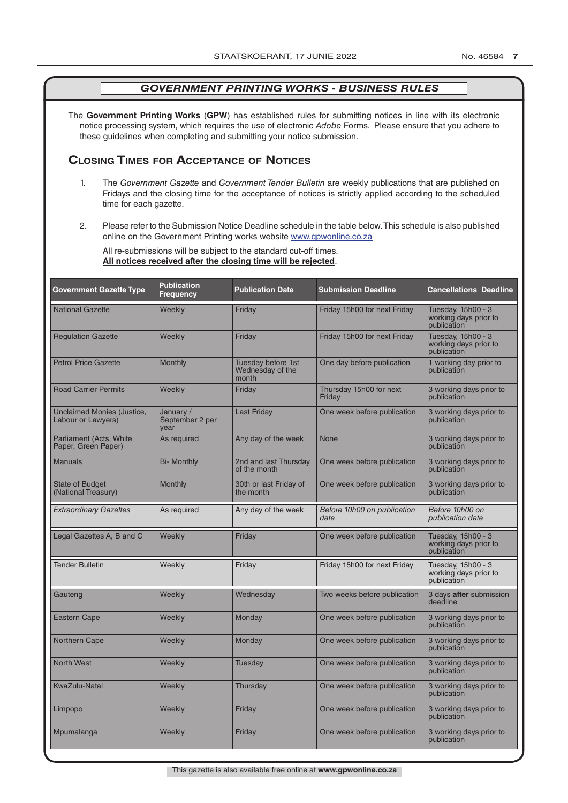The **Government Printing Works** (**GPW**) has established rules for submitting notices in line with its electronic notice processing system, which requires the use of electronic *Adobe* Forms. Please ensure that you adhere to these guidelines when completing and submitting your notice submission.

## **Closing Times for ACCepTAnCe of noTiCes**

- 1. The *Government Gazette* and *Government Tender Bulletin* are weekly publications that are published on Fridays and the closing time for the acceptance of notices is strictly applied according to the scheduled time for each gazette.
- 2. Please refer to the Submission Notice Deadline schedule in the table below. This schedule is also published online on the Government Printing works website www.gpwonline.co.za

All re-submissions will be subject to the standard cut-off times. **All notices received after the closing time will be rejected**.

| <b>Government Gazette Type</b>                   | <b>Publication</b><br><b>Frequency</b> | <b>Publication Date</b>                         | <b>Submission Deadline</b>          | <b>Cancellations Deadline</b>                              |
|--------------------------------------------------|----------------------------------------|-------------------------------------------------|-------------------------------------|------------------------------------------------------------|
| <b>National Gazette</b>                          | Weekly                                 | Friday                                          | Friday 15h00 for next Friday        | Tuesday, 15h00 - 3<br>working days prior to<br>publication |
| <b>Regulation Gazette</b>                        | Weekly                                 | Friday                                          | Friday 15h00 for next Friday        | Tuesday, 15h00 - 3<br>working days prior to<br>publication |
| <b>Petrol Price Gazette</b>                      | Monthly                                | Tuesday before 1st<br>Wednesday of the<br>month | One day before publication          | 1 working day prior to<br>publication                      |
| <b>Road Carrier Permits</b>                      | Weekly                                 | Friday                                          | Thursday 15h00 for next<br>Friday   | 3 working days prior to<br>publication                     |
| Unclaimed Monies (Justice,<br>Labour or Lawyers) | January /<br>September 2 per<br>year   | <b>Last Friday</b>                              | One week before publication         | 3 working days prior to<br>publication                     |
| Parliament (Acts, White<br>Paper, Green Paper)   | As required                            | Any day of the week                             | None                                | 3 working days prior to<br>publication                     |
| <b>Manuals</b>                                   | <b>Bi- Monthly</b>                     | 2nd and last Thursday<br>of the month           | One week before publication         | 3 working days prior to<br>publication                     |
| <b>State of Budget</b><br>(National Treasury)    | <b>Monthly</b>                         | 30th or last Friday of<br>the month             | One week before publication         | 3 working days prior to<br>publication                     |
| <b>Extraordinary Gazettes</b>                    | As required                            | Any day of the week                             | Before 10h00 on publication<br>date | Before 10h00 on<br>publication date                        |
| Legal Gazettes A, B and C                        | Weekly                                 | Friday                                          | One week before publication         | Tuesday, 15h00 - 3<br>working days prior to<br>publication |
| <b>Tender Bulletin</b>                           | Weekly                                 | Friday                                          | Friday 15h00 for next Friday        | Tuesday, 15h00 - 3<br>working days prior to<br>publication |
| Gauteng                                          | Weekly                                 | Wednesday                                       | Two weeks before publication        | 3 days after submission<br>deadline                        |
| <b>Eastern Cape</b>                              | Weekly                                 | Monday                                          | One week before publication         | 3 working days prior to<br>publication                     |
| <b>Northern Cape</b>                             | Weekly                                 | Monday                                          | One week before publication         | 3 working days prior to<br>publication                     |
| <b>North West</b>                                | Weekly                                 | Tuesday                                         | One week before publication         | 3 working days prior to<br>publication                     |
| <b>KwaZulu-Natal</b>                             | Weekly                                 | Thursday                                        | One week before publication         | 3 working days prior to<br>publication                     |
| Limpopo                                          | Weekly                                 | Friday                                          | One week before publication         | 3 working days prior to<br>publication                     |
| Mpumalanga                                       | Weekly                                 | Friday                                          | One week before publication         | 3 working days prior to<br>publication                     |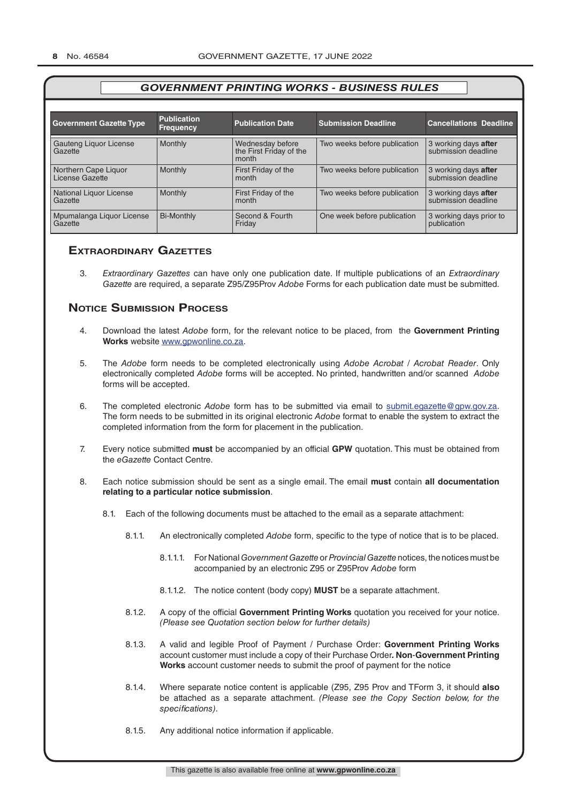| <b>Government Gazette Type</b>          | <b>Publication</b><br><b>Frequency</b> | <b>Publication Date</b>                              | <b>Submission Deadline</b>   | <b>Cancellations Deadline</b>               |
|-----------------------------------------|----------------------------------------|------------------------------------------------------|------------------------------|---------------------------------------------|
| Gauteng Liquor License<br>Gazette       | Monthly                                | Wednesday before<br>the First Friday of the<br>month | Two weeks before publication | 3 working days after<br>submission deadline |
| Northern Cape Liquor<br>License Gazette | Monthly                                | First Friday of the<br>month                         | Two weeks before publication | 3 working days after<br>submission deadline |
| National Liquor License<br>Gazette      | Monthly                                | First Friday of the<br>month                         | Two weeks before publication | 3 working days after<br>submission deadline |
| Mpumalanga Liquor License<br>Gazette    | <b>Bi-Monthly</b>                      | Second & Fourth<br>Friday                            | One week before publication  | 3 working days prior to<br>publication      |

## **exTrAordinAry gAzeTTes**

3. *Extraordinary Gazettes* can have only one publication date. If multiple publications of an *Extraordinary Gazette* are required, a separate Z95/Z95Prov *Adobe* Forms for each publication date must be submitted.

## **NOTICE SUBMISSION PROCESS**

- 4. Download the latest *Adobe* form, for the relevant notice to be placed, from the **Government Printing Works** website www.gpwonline.co.za.
- 5. The *Adobe* form needs to be completed electronically using *Adobe Acrobat* / *Acrobat Reader*. Only electronically completed *Adobe* forms will be accepted. No printed, handwritten and/or scanned *Adobe* forms will be accepted.
- 6. The completed electronic *Adobe* form has to be submitted via email to submit.egazette@gpw.gov.za. The form needs to be submitted in its original electronic *Adobe* format to enable the system to extract the completed information from the form for placement in the publication.
- 7. Every notice submitted **must** be accompanied by an official **GPW** quotation. This must be obtained from the *eGazette* Contact Centre.
- 8. Each notice submission should be sent as a single email. The email **must** contain **all documentation relating to a particular notice submission**.
	- 8.1. Each of the following documents must be attached to the email as a separate attachment:
		- 8.1.1. An electronically completed *Adobe* form, specific to the type of notice that is to be placed.
			- 8.1.1.1. For National *Government Gazette* or *Provincial Gazette* notices, the notices must be accompanied by an electronic Z95 or Z95Prov *Adobe* form
			- 8.1.1.2. The notice content (body copy) **MUST** be a separate attachment.
		- 8.1.2. A copy of the official **Government Printing Works** quotation you received for your notice. *(Please see Quotation section below for further details)*
		- 8.1.3. A valid and legible Proof of Payment / Purchase Order: **Government Printing Works** account customer must include a copy of their Purchase Order*.* **Non**-**Government Printing Works** account customer needs to submit the proof of payment for the notice
		- 8.1.4. Where separate notice content is applicable (Z95, Z95 Prov and TForm 3, it should **also** be attached as a separate attachment. *(Please see the Copy Section below, for the specifications)*.
		- 8.1.5. Any additional notice information if applicable.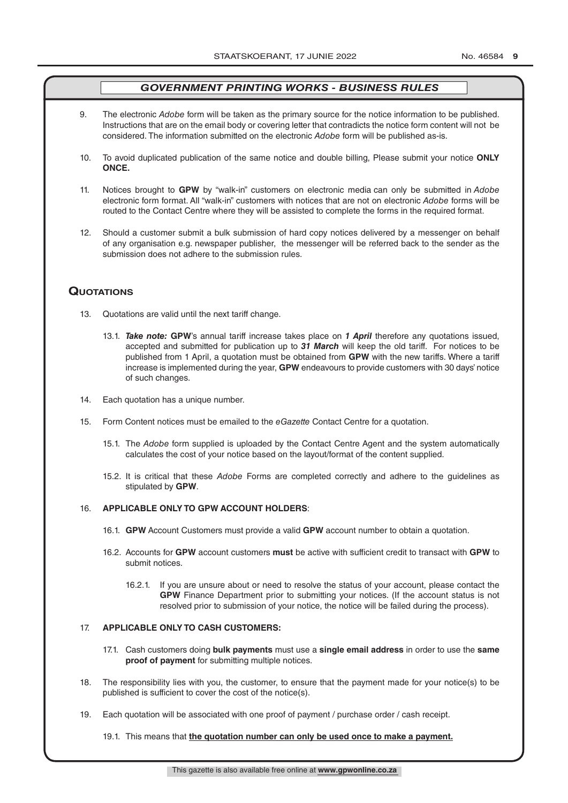- 9. The electronic *Adobe* form will be taken as the primary source for the notice information to be published. Instructions that are on the email body or covering letter that contradicts the notice form content will not be considered. The information submitted on the electronic *Adobe* form will be published as-is.
- 10. To avoid duplicated publication of the same notice and double billing, Please submit your notice **ONLY ONCE.**
- 11. Notices brought to **GPW** by "walk-in" customers on electronic media can only be submitted in *Adobe* electronic form format. All "walk-in" customers with notices that are not on electronic *Adobe* forms will be routed to the Contact Centre where they will be assisted to complete the forms in the required format.
- 12. Should a customer submit a bulk submission of hard copy notices delivered by a messenger on behalf of any organisation e.g. newspaper publisher, the messenger will be referred back to the sender as the submission does not adhere to the submission rules.

## **QuoTATions**

- 13. Quotations are valid until the next tariff change.
	- 13.1. *Take note:* **GPW**'s annual tariff increase takes place on *1 April* therefore any quotations issued, accepted and submitted for publication up to *31 March* will keep the old tariff. For notices to be published from 1 April, a quotation must be obtained from **GPW** with the new tariffs. Where a tariff increase is implemented during the year, **GPW** endeavours to provide customers with 30 days' notice of such changes.
- 14. Each quotation has a unique number.
- 15. Form Content notices must be emailed to the *eGazette* Contact Centre for a quotation.
	- 15.1. The *Adobe* form supplied is uploaded by the Contact Centre Agent and the system automatically calculates the cost of your notice based on the layout/format of the content supplied.
	- 15.2. It is critical that these *Adobe* Forms are completed correctly and adhere to the guidelines as stipulated by **GPW**.

## 16. **APPLICABLE ONLY TO GPW ACCOUNT HOLDERS**:

- 16.1. **GPW** Account Customers must provide a valid **GPW** account number to obtain a quotation.
- 16.2. Accounts for **GPW** account customers **must** be active with sufficient credit to transact with **GPW** to submit notices.
	- 16.2.1. If you are unsure about or need to resolve the status of your account, please contact the **GPW** Finance Department prior to submitting your notices. (If the account status is not resolved prior to submission of your notice, the notice will be failed during the process).

## 17. **APPLICABLE ONLY TO CASH CUSTOMERS:**

- 17.1. Cash customers doing **bulk payments** must use a **single email address** in order to use the **same proof of payment** for submitting multiple notices.
- 18. The responsibility lies with you, the customer, to ensure that the payment made for your notice(s) to be published is sufficient to cover the cost of the notice(s).
- 19. Each quotation will be associated with one proof of payment / purchase order / cash receipt.

## 19.1. This means that **the quotation number can only be used once to make a payment.**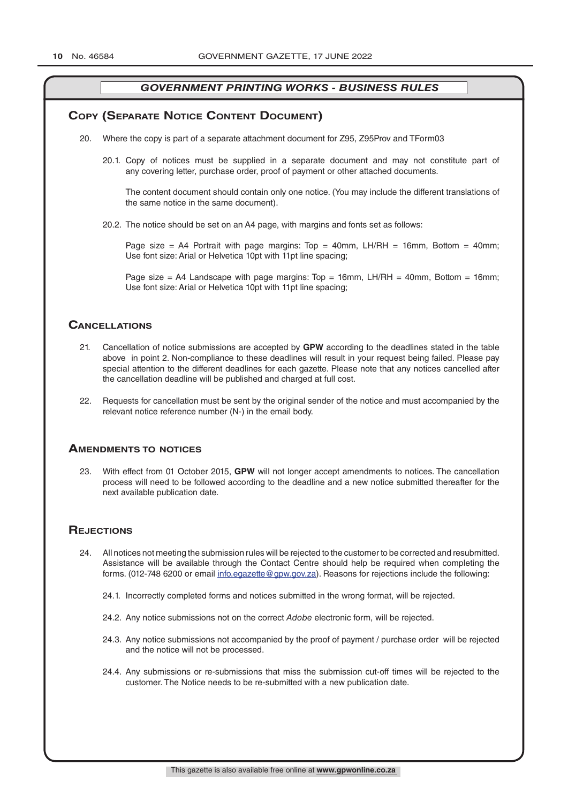## **COPY (SEPARATE NOTICE CONTENT DOCUMENT)**

- 20. Where the copy is part of a separate attachment document for Z95, Z95Prov and TForm03
	- 20.1. Copy of notices must be supplied in a separate document and may not constitute part of any covering letter, purchase order, proof of payment or other attached documents.

The content document should contain only one notice. (You may include the different translations of the same notice in the same document).

20.2. The notice should be set on an A4 page, with margins and fonts set as follows:

Page size = A4 Portrait with page margins: Top = 40mm, LH/RH = 16mm, Bottom = 40mm; Use font size: Arial or Helvetica 10pt with 11pt line spacing;

Page size = A4 Landscape with page margins:  $Top = 16mm$ , LH/RH = 40mm, Bottom = 16mm; Use font size: Arial or Helvetica 10pt with 11pt line spacing;

## **CAnCellATions**

- 21. Cancellation of notice submissions are accepted by **GPW** according to the deadlines stated in the table above in point 2. Non-compliance to these deadlines will result in your request being failed. Please pay special attention to the different deadlines for each gazette. Please note that any notices cancelled after the cancellation deadline will be published and charged at full cost.
- 22. Requests for cancellation must be sent by the original sender of the notice and must accompanied by the relevant notice reference number (N-) in the email body.

## **AmendmenTs To noTiCes**

23. With effect from 01 October 2015, **GPW** will not longer accept amendments to notices. The cancellation process will need to be followed according to the deadline and a new notice submitted thereafter for the next available publication date.

## **REJECTIONS**

- 24. All notices not meeting the submission rules will be rejected to the customer to be corrected and resubmitted. Assistance will be available through the Contact Centre should help be required when completing the forms. (012-748 6200 or email info.egazette@gpw.gov.za). Reasons for rejections include the following:
	- 24.1. Incorrectly completed forms and notices submitted in the wrong format, will be rejected.
	- 24.2. Any notice submissions not on the correct *Adobe* electronic form, will be rejected.
	- 24.3. Any notice submissions not accompanied by the proof of payment / purchase order will be rejected and the notice will not be processed.
	- 24.4. Any submissions or re-submissions that miss the submission cut-off times will be rejected to the customer. The Notice needs to be re-submitted with a new publication date.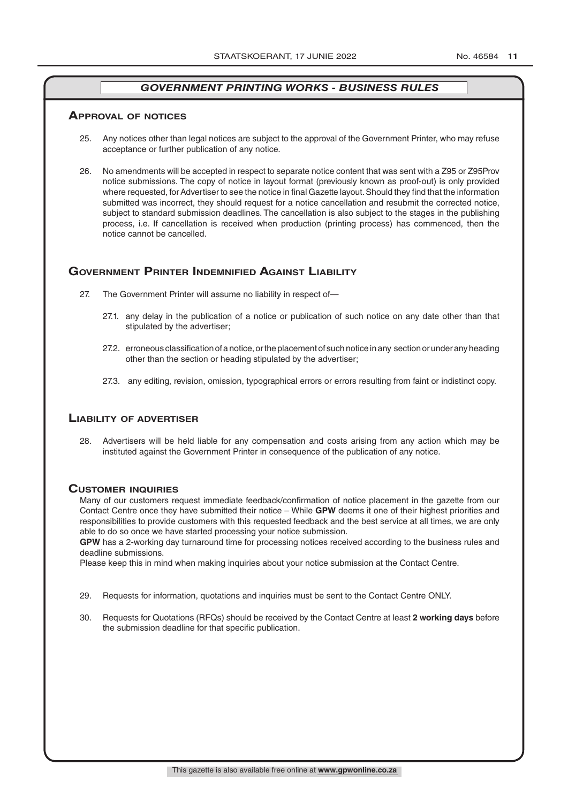## **ApprovAl of noTiCes**

- 25. Any notices other than legal notices are subject to the approval of the Government Printer, who may refuse acceptance or further publication of any notice.
- 26. No amendments will be accepted in respect to separate notice content that was sent with a Z95 or Z95Prov notice submissions. The copy of notice in layout format (previously known as proof-out) is only provided where requested, for Advertiser to see the notice in final Gazette layout. Should they find that the information submitted was incorrect, they should request for a notice cancellation and resubmit the corrected notice, subject to standard submission deadlines. The cancellation is also subject to the stages in the publishing process, i.e. If cancellation is received when production (printing process) has commenced, then the notice cannot be cancelled.

## **governmenT prinTer indemnified AgAinsT liAbiliTy**

- 27. The Government Printer will assume no liability in respect of—
	- 27.1. any delay in the publication of a notice or publication of such notice on any date other than that stipulated by the advertiser;
	- 27.2. erroneous classification of a notice, or the placement of such notice in any section or under any heading other than the section or heading stipulated by the advertiser;
	- 27.3. any editing, revision, omission, typographical errors or errors resulting from faint or indistinct copy.

## **liAbiliTy of AdverTiser**

28. Advertisers will be held liable for any compensation and costs arising from any action which may be instituted against the Government Printer in consequence of the publication of any notice.

#### **CusTomer inQuiries**

Many of our customers request immediate feedback/confirmation of notice placement in the gazette from our Contact Centre once they have submitted their notice – While **GPW** deems it one of their highest priorities and responsibilities to provide customers with this requested feedback and the best service at all times, we are only able to do so once we have started processing your notice submission.

**GPW** has a 2-working day turnaround time for processing notices received according to the business rules and deadline submissions.

Please keep this in mind when making inquiries about your notice submission at the Contact Centre.

- 29. Requests for information, quotations and inquiries must be sent to the Contact Centre ONLY.
- 30. Requests for Quotations (RFQs) should be received by the Contact Centre at least **2 working days** before the submission deadline for that specific publication.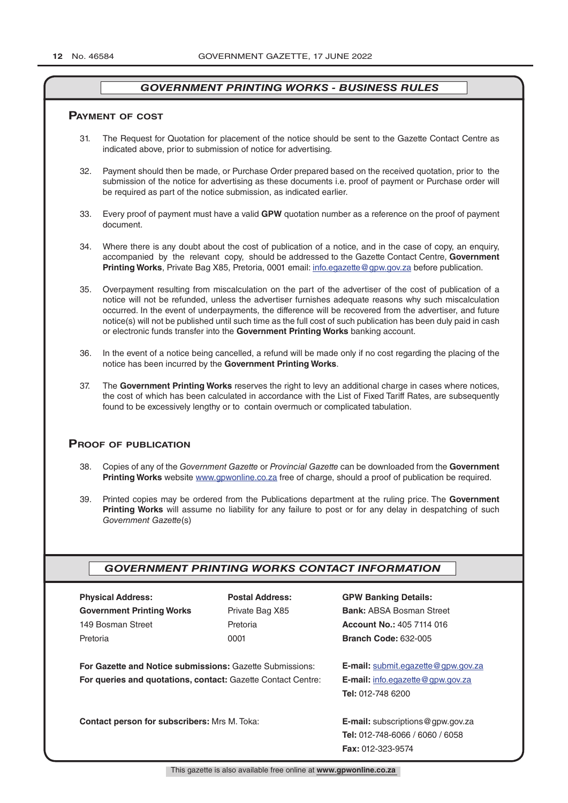## **pAymenT of CosT**

- 31. The Request for Quotation for placement of the notice should be sent to the Gazette Contact Centre as indicated above, prior to submission of notice for advertising.
- 32. Payment should then be made, or Purchase Order prepared based on the received quotation, prior to the submission of the notice for advertising as these documents i.e. proof of payment or Purchase order will be required as part of the notice submission, as indicated earlier.
- 33. Every proof of payment must have a valid **GPW** quotation number as a reference on the proof of payment document.
- 34. Where there is any doubt about the cost of publication of a notice, and in the case of copy, an enquiry, accompanied by the relevant copy, should be addressed to the Gazette Contact Centre, **Government Printing Works**, Private Bag X85, Pretoria, 0001 email: info.egazette@gpw.gov.za before publication.
- 35. Overpayment resulting from miscalculation on the part of the advertiser of the cost of publication of a notice will not be refunded, unless the advertiser furnishes adequate reasons why such miscalculation occurred. In the event of underpayments, the difference will be recovered from the advertiser, and future notice(s) will not be published until such time as the full cost of such publication has been duly paid in cash or electronic funds transfer into the **Government Printing Works** banking account.
- 36. In the event of a notice being cancelled, a refund will be made only if no cost regarding the placing of the notice has been incurred by the **Government Printing Works**.
- 37. The **Government Printing Works** reserves the right to levy an additional charge in cases where notices, the cost of which has been calculated in accordance with the List of Fixed Tariff Rates, are subsequently found to be excessively lengthy or to contain overmuch or complicated tabulation.

## **proof of publiCATion**

- 38. Copies of any of the *Government Gazette* or *Provincial Gazette* can be downloaded from the **Government Printing Works** website www.gpwonline.co.za free of charge, should a proof of publication be required.
- 39. Printed copies may be ordered from the Publications department at the ruling price. The **Government Printing Works** will assume no liability for any failure to post or for any delay in despatching of such *Government Gazette*(s)

## *GOVERNMENT PRINTING WORKS CONTACT INFORMATION*

| <b>PRYSICAL ACCRESS:</b>         |
|----------------------------------|
| <b>Government Printing Works</b> |
| 149 Bosman Street                |
| Pretoria                         |

**Physical Address: Postal Address: GPW Banking Details:**

Private Bag X85 **Bank:** ABSA Bosman Street 149 Bosman Street Pretoria **Account No.:** 405 7114 016 Pretoria 0001 **Branch Code:** 632-005

**For Gazette and Notice submissions:** Gazette Submissions: **E-mail:** submit.egazette@gpw.gov.za **For queries and quotations, contact:** Gazette Contact Centre: **E-mail:** info.egazette@gpw.gov.za

**Tel:** 012-748 6200

**Contact person for subscribers:** Mrs M. Toka: **E-mail:** subscriptions@gpw.gov.za **Tel:** 012-748-6066 / 6060 / 6058 **Fax:** 012-323-9574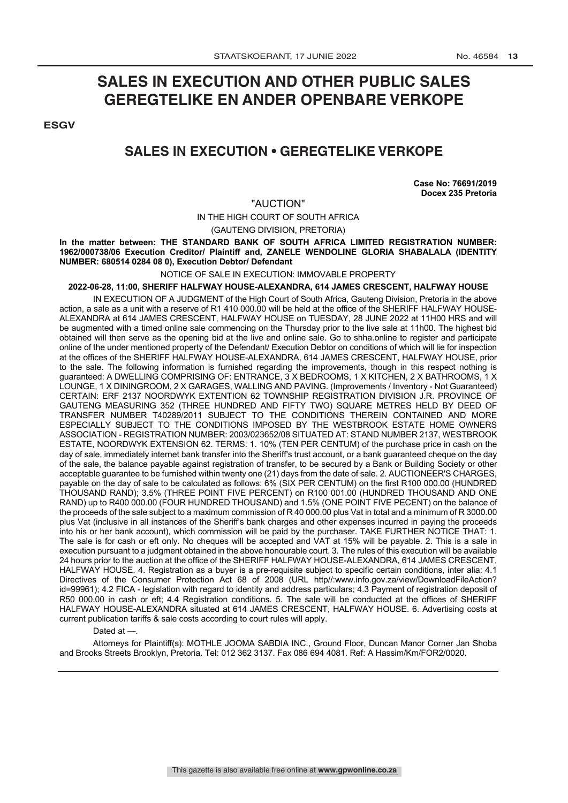## **SALES IN EXECUTION AND OTHER PUBLIC SALES GEREGTELIKE EN ANDER OPENBARE VERKOPE**

**ESGV** 

## **SALES IN EXECUTION • GEREGTELIKE VERKOPE**

**Case No: 76691/2019 Docex 235 Pretoria**

## "AUCTION"

IN THE HIGH COURT OF SOUTH AFRICA

(GAUTENG DIVISION, PRETORIA)

**In the matter between: THE STANDARD BANK OF SOUTH AFRICA LIMITED REGISTRATION NUMBER: 1962/000738/06 Execution Creditor/ Plaintiff and, ZANELE WENDOLINE GLORIA SHABALALA (IDENTITY NUMBER: 680514 0284 08 0), Execution Debtor/ Defendant**

NOTICE OF SALE IN EXECUTION: IMMOVABLE PROPERTY

## **2022-06-28, 11:00, SHERIFF HALFWAY HOUSE-ALEXANDRA, 614 JAMES CRESCENT, HALFWAY HOUSE**

IN EXECUTION OF A JUDGMENT of the High Court of South Africa, Gauteng Division, Pretoria in the above action, a sale as a unit with a reserve of R1 410 000.00 will be held at the office of the SHERIFF HALFWAY HOUSE-ALEXANDRA at 614 JAMES CRESCENT, HALFWAY HOUSE on TUESDAY, 28 JUNE 2022 at 11H00 HRS and will be augmented with a timed online sale commencing on the Thursday prior to the live sale at 11h00. The highest bid obtained will then serve as the opening bid at the live and online sale. Go to shha.online to register and participate online of the under mentioned property of the Defendant/ Execution Debtor on conditions of which will lie for inspection at the offices of the SHERIFF HALFWAY HOUSE-ALEXANDRA, 614 JAMES CRESCENT, HALFWAY HOUSE, prior to the sale. The following information is furnished regarding the improvements, though in this respect nothing is guaranteed: A DWELLING COMPRISING OF: ENTRANCE, 3 X BEDROOMS, 1 X KITCHEN, 2 X BATHROOMS, 1 X LOUNGE, 1 X DININGROOM, 2 X GARAGES, WALLING AND PAVING. (Improvements / Inventory - Not Guaranteed) CERTAIN: ERF 2137 NOORDWYK EXTENTION 62 TOWNSHIP REGISTRATION DIVISION J.R. PROVINCE OF GAUTENG MEASURING 352 (THREE HUNDRED AND FIFTY TWO) SQUARE METRES HELD BY DEED OF TRANSFER NUMBER T40289/2011 SUBJECT TO THE CONDITIONS THEREIN CONTAINED AND MORE ESPECIALLY SUBJECT TO THE CONDITIONS IMPOSED BY THE WESTBROOK ESTATE HOME OWNERS ASSOCIATION - REGISTRATION NUMBER: 2003/023652/08 SITUATED AT: STAND NUMBER 2137, WESTBROOK ESTATE, NOORDWYK EXTENSION 62. TERMS: 1. 10% (TEN PER CENTUM) of the purchase price in cash on the day of sale, immediately internet bank transfer into the Sheriff's trust account, or a bank guaranteed cheque on the day of the sale, the balance payable against registration of transfer, to be secured by a Bank or Building Society or other acceptable guarantee to be furnished within twenty one (21) days from the date of sale. 2. AUCTIONEER'S CHARGES, payable on the day of sale to be calculated as follows: 6% (SIX PER CENTUM) on the first R100 000.00 (HUNDRED THOUSAND RAND); 3.5% (THREE POINT FIVE PERCENT) on R100 001.00 (HUNDRED THOUSAND AND ONE RAND) up to R400 000.00 (FOUR HUNDRED THOUSAND) and 1.5% (ONE POINT FIVE PECENT) on the balance of the proceeds of the sale subject to a maximum commission of R 40 000.00 plus Vat in total and a minimum of R 3000.00 plus Vat (inclusive in all instances of the Sheriff's bank charges and other expenses incurred in paying the proceeds into his or her bank account), which commission will be paid by the purchaser. TAKE FURTHER NOTICE THAT: 1. The sale is for cash or eft only. No cheques will be accepted and VAT at 15% will be payable. 2. This is a sale in execution pursuant to a judgment obtained in the above honourable court. 3. The rules of this execution will be available 24 hours prior to the auction at the office of the SHERIFF HALFWAY HOUSE-ALEXANDRA, 614 JAMES CRESCENT, HALFWAY HOUSE. 4. Registration as a buyer is a pre-requisite subject to specific certain conditions, inter alia: 4.1 Directives of the Consumer Protection Act 68 of 2008 (URL http//:www.info.gov.za/view/DownloadFileAction? id=99961); 4.2 FICA - legislation with regard to identity and address particulars; 4.3 Payment of registration deposit of R50 000.00 in cash or eft; 4.4 Registration conditions. 5. The sale will be conducted at the offices of SHERIFF HALFWAY HOUSE-ALEXANDRA situated at 614 JAMES CRESCENT, HALFWAY HOUSE. 6. Advertising costs at current publication tariffs & sale costs according to court rules will apply.

Dated at -

Attorneys for Plaintiff(s): MOTHLE JOOMA SABDIA INC., Ground Floor, Duncan Manor Corner Jan Shoba and Brooks Streets Brooklyn, Pretoria. Tel: 012 362 3137. Fax 086 694 4081. Ref: A Hassim/Km/FOR2/0020.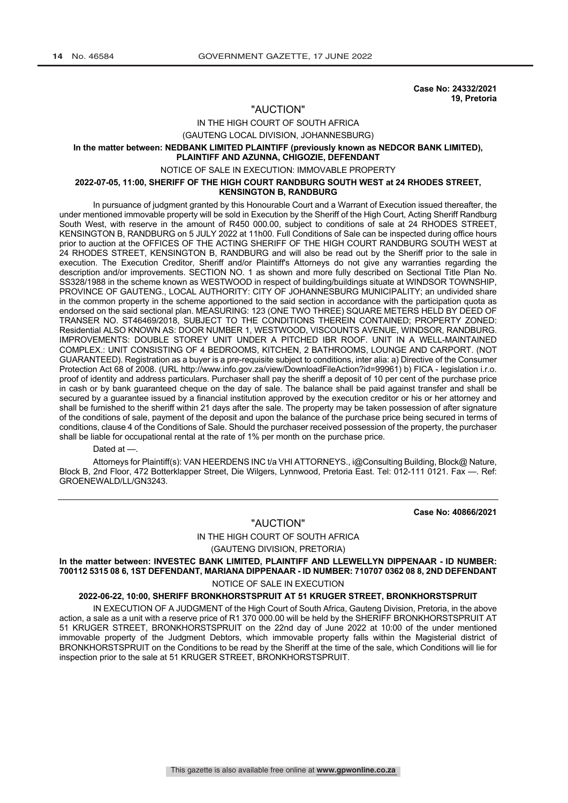**Case No: 24332/2021 19, Pretoria**

## "AUCTION"

#### IN THE HIGH COURT OF SOUTH AFRICA

(GAUTENG LOCAL DIVISION, JOHANNESBURG)

#### **In the matter between: NEDBANK LIMITED PLAINTIFF (previously known as NEDCOR BANK LIMITED), PLAINTIFF AND AZUNNA, CHIGOZIE, DEFENDANT**

## NOTICE OF SALE IN EXECUTION: IMMOVABLE PROPERTY

#### **2022-07-05, 11:00, SHERIFF OF THE HIGH COURT RANDBURG SOUTH WEST at 24 RHODES STREET, KENSINGTON B, RANDBURG**

In pursuance of judgment granted by this Honourable Court and a Warrant of Execution issued thereafter, the under mentioned immovable property will be sold in Execution by the Sheriff of the High Court, Acting Sheriff Randburg South West, with reserve in the amount of R450 000.00, subject to conditions of sale at 24 RHODES STREET, KENSINGTON B, RANDBURG on 5 JULY 2022 at 11h00. Full Conditions of Sale can be inspected during office hours prior to auction at the OFFICES OF THE ACTING SHERIFF OF THE HIGH COURT RANDBURG SOUTH WEST at 24 RHODES STREET, KENSINGTON B, RANDBURG and will also be read out by the Sheriff prior to the sale in execution. The Execution Creditor, Sheriff and/or Plaintiff's Attorneys do not give any warranties regarding the description and/or improvements. SECTION NO. 1 as shown and more fully described on Sectional Title Plan No. SS328/1988 in the scheme known as WESTWOOD in respect of building/buildings situate at WINDSOR TOWNSHIP, PROVINCE OF GAUTENG., LOCAL AUTHORITY: CITY OF JOHANNESBURG MUNICIPALITY; an undivided share in the common property in the scheme apportioned to the said section in accordance with the participation quota as endorsed on the said sectional plan. MEASURING: 123 (ONE TWO THREE) SQUARE METERS HELD BY DEED OF TRANSER NO. ST46469/2018, SUBJECT TO THE CONDITIONS THEREIN CONTAINED; PROPERTY ZONED: Residential ALSO KNOWN AS: DOOR NUMBER 1, WESTWOOD, VISCOUNTS AVENUE, WINDSOR, RANDBURG. IMPROVEMENTS: DOUBLE STOREY UNIT UNDER A PITCHED IBR ROOF. UNIT IN A WELL-MAINTAINED COMPLEX.: UNIT CONSISTING OF 4 BEDROOMS, KITCHEN, 2 BATHROOMS, LOUNGE AND CARPORT. (NOT GUARANTEED). Registration as a buyer is a pre-requisite subject to conditions, inter alia: a) Directive of the Consumer Protection Act 68 of 2008. (URL http://www.info.gov.za/view/DownloadFileAction?id=99961) b) FICA - legislation i.r.o. proof of identity and address particulars. Purchaser shall pay the sheriff a deposit of 10 per cent of the purchase price in cash or by bank guaranteed cheque on the day of sale. The balance shall be paid against transfer and shall be secured by a guarantee issued by a financial institution approved by the execution creditor or his or her attorney and shall be furnished to the sheriff within 21 days after the sale. The property may be taken possession of after signature of the conditions of sale, payment of the deposit and upon the balance of the purchase price being secured in terms of conditions, clause 4 of the Conditions of Sale. Should the purchaser received possession of the property, the purchaser shall be liable for occupational rental at the rate of 1% per month on the purchase price.

#### Dated at -

Attorneys for Plaintiff(s): VAN HEERDENS INC t/a VHI ATTORNEYS., i@Consulting Building, Block@ Nature, Block B, 2nd Floor, 472 Botterklapper Street, Die Wilgers, Lynnwood, Pretoria East. Tel: 012-111 0121. Fax —. Ref: GROENEWALD/LL/GN3243.

**Case No: 40866/2021**

#### "AUCTION"

#### IN THE HIGH COURT OF SOUTH AFRICA

(GAUTENG DIVISION, PRETORIA)

**In the matter between: INVESTEC BANK LIMITED, PLAINTIFF AND LLEWELLYN DIPPENAAR - ID NUMBER: 700112 5315 08 6, 1ST DEFENDANT, MARIANA DIPPENAAR - ID NUMBER: 710707 0362 08 8, 2ND DEFENDANT**

NOTICE OF SALE IN EXECUTION

#### **2022-06-22, 10:00, SHERIFF BRONKHORSTSPRUIT AT 51 KRUGER STREET, BRONKHORSTSPRUIT**

IN EXECUTION OF A JUDGMENT of the High Court of South Africa, Gauteng Division, Pretoria, in the above action, a sale as a unit with a reserve price of R1 370 000.00 will be held by the SHERIFF BRONKHORSTSPRUIT AT 51 KRUGER STREET, BRONKHORSTSPRUIT on the 22nd day of June 2022 at 10:00 of the under mentioned immovable property of the Judgment Debtors, which immovable property falls within the Magisterial district of BRONKHORSTSPRUIT on the Conditions to be read by the Sheriff at the time of the sale, which Conditions will lie for inspection prior to the sale at 51 KRUGER STREET, BRONKHORSTSPRUIT.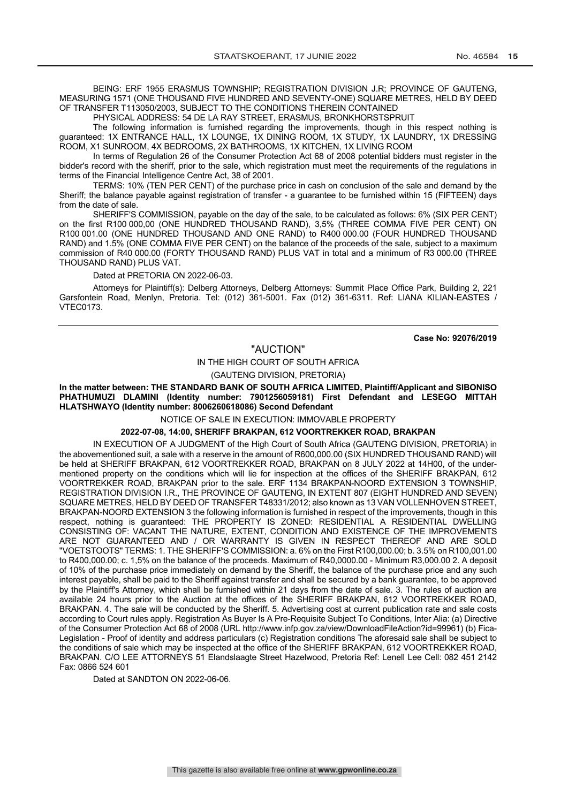BEING: ERF 1955 ERASMUS TOWNSHIP; REGISTRATION DIVISION J.R; PROVINCE OF GAUTENG, MEASURING 1571 (ONE THOUSAND FIVE HUNDRED AND SEVENTY-ONE) SQUARE METRES, HELD BY DEED OF TRANSFER T113050/2003, SUBJECT TO THE CONDITIONS THEREIN CONTAINED

PHYSICAL ADDRESS: 54 DE LA RAY STREET, ERASMUS, BRONKHORSTSPRUIT

The following information is furnished regarding the improvements, though in this respect nothing is guaranteed: 1X ENTRANCE HALL, 1X LOUNGE, 1X DINING ROOM, 1X STUDY, 1X LAUNDRY, 1X DRESSING ROOM, X1 SUNROOM, 4X BEDROOMS, 2X BATHROOMS, 1X KITCHEN, 1X LIVING ROOM

In terms of Regulation 26 of the Consumer Protection Act 68 of 2008 potential bidders must register in the bidder's record with the sheriff, prior to the sale, which registration must meet the requirements of the regulations in terms of the Financial Intelligence Centre Act, 38 of 2001.

TERMS: 10% (TEN PER CENT) of the purchase price in cash on conclusion of the sale and demand by the Sheriff; the balance payable against registration of transfer - a guarantee to be furnished within 15 (FIFTEEN) days from the date of sale.

SHERIFF'S COMMISSION, payable on the day of the sale, to be calculated as follows: 6% (SIX PER CENT) on the first R100 000,00 (ONE HUNDRED THOUSAND RAND), 3,5% (THREE COMMA FIVE PER CENT) ON R100 001.00 (ONE HUNDRED THOUSAND AND ONE RAND) to R400 000.00 (FOUR HUNDRED THOUSAND RAND) and 1.5% (ONE COMMA FIVE PER CENT) on the balance of the proceeds of the sale, subject to a maximum commission of R40 000.00 (FORTY THOUSAND RAND) PLUS VAT in total and a minimum of R3 000.00 (THREE THOUSAND RAND) PLUS VAT.

Dated at PRETORIA ON 2022-06-03.

Attorneys for Plaintiff(s): Delberg Attorneys, Delberg Attorneys: Summit Place Office Park, Building 2, 221 Garsfontein Road, Menlyn, Pretoria. Tel: (012) 361-5001. Fax (012) 361-6311. Ref: LIANA KILIAN-EASTES / VTEC0173.

**Case No: 92076/2019**

#### "AUCTION"

#### IN THE HIGH COURT OF SOUTH AFRICA

(GAUTENG DIVISION, PRETORIA)

**In the matter between: THE STANDARD BANK OF SOUTH AFRICA LIMITED, Plaintiff/Applicant and SIBONISO PHATHUMUZI DLAMINI (Identity number: 7901256059181) First Defendant and LESEGO MITTAH HLATSHWAYO (Identity number: 8006260618086) Second Defendant**

NOTICE OF SALE IN EXECUTION: IMMOVABLE PROPERTY

**2022-07-08, 14:00, SHERIFF BRAKPAN, 612 VOORTREKKER ROAD, BRAKPAN**

IN EXECUTION OF A JUDGMENT of the High Court of South Africa (GAUTENG DIVISION, PRETORIA) in the abovementioned suit, a sale with a reserve in the amount of R600,000.00 (SIX HUNDRED THOUSAND RAND) will be held at SHERIFF BRAKPAN, 612 VOORTREKKER ROAD, BRAKPAN on 8 JULY 2022 at 14H00, of the undermentioned property on the conditions which will lie for inspection at the offices of the SHERIFF BRAKPAN, 612 VOORTREKKER ROAD, BRAKPAN prior to the sale. ERF 1134 BRAKPAN-NOORD EXTENSION 3 TOWNSHIP, REGISTRATION DIVISION I.R., THE PROVINCE OF GAUTENG, IN EXTENT 807 (EIGHT HUNDRED AND SEVEN) SQUARE METRES, HELD BY DEED OF TRANSFER T48331/2012; also known as 13 VAN VOLLENHOVEN STREET, BRAKPAN-NOORD EXTENSION 3 the following information is furnished in respect of the improvements, though in this respect, nothing is guaranteed: THE PROPERTY IS ZONED: RESIDENTIAL A RESIDENTIAL DWELLING CONSISTING OF: VACANT THE NATURE, EXTENT, CONDITION AND EXISTENCE OF THE IMPROVEMENTS ARE NOT GUARANTEED AND / OR WARRANTY IS GIVEN IN RESPECT THEREOF AND ARE SOLD "VOETSTOOTS" TERMS: 1. THE SHERIFF'S COMMISSION: a. 6% on the First R100,000.00; b. 3.5% on R100,001.00 to R400,000.00; c. 1,5% on the balance of the proceeds. Maximum of R40,0000.00 - Minimum R3,000.00 2. A deposit of 10% of the purchase price immediately on demand by the Sheriff, the balance of the purchase price and any such interest payable, shall be paid to the Sheriff against transfer and shall be secured by a bank guarantee, to be approved by the Plaintiff's Attorney, which shall be furnished within 21 days from the date of sale. 3. The rules of auction are available 24 hours prior to the Auction at the offices of the SHERIFF BRAKPAN, 612 VOORTREKKER ROAD, BRAKPAN. 4. The sale will be conducted by the Sheriff. 5. Advertising cost at current publication rate and sale costs according to Court rules apply. Registration As Buyer Is A Pre-Requisite Subject To Conditions, Inter Alia: (a) Directive of the Consumer Protection Act 68 of 2008 (URL http://www.infp.gov.za/view/DownloadFileAction?id=99961) (b) Fica-Legislation - Proof of identity and address particulars (c) Registration conditions The aforesaid sale shall be subject to the conditions of sale which may be inspected at the office of the SHERIFF BRAKPAN, 612 VOORTREKKER ROAD, BRAKPAN. C/O LEE ATTORNEYS 51 Elandslaagte Street Hazelwood, Pretoria Ref: Lenell Lee Cell: 082 451 2142 Fax: 0866 524 601

Dated at SANDTON ON 2022-06-06.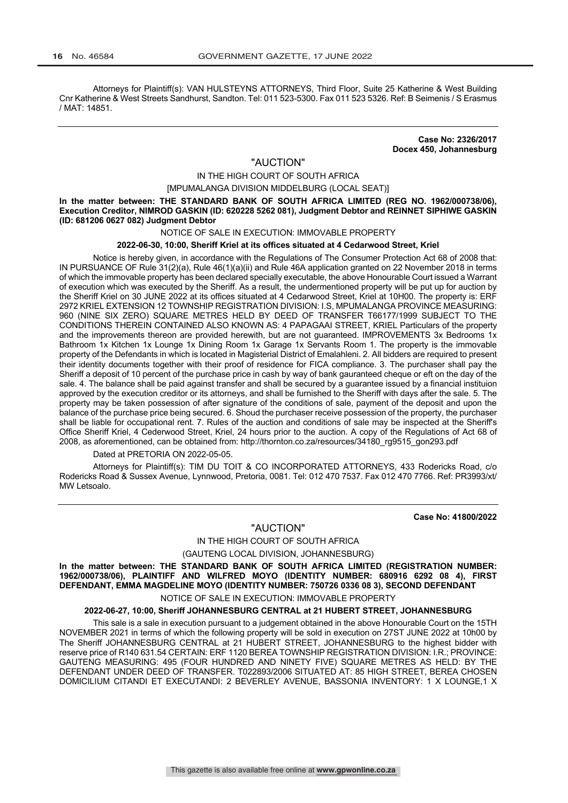Attorneys for Plaintiff(s): VAN HULSTEYNS ATTORNEYS, Third Floor, Suite 25 Katherine & West Building Cnr Katherine & West Streets Sandhurst, Sandton. Tel: 011 523-5300. Fax 011 523 5326. Ref: B Seimenis / S Erasmus / MAT: 14851.

> **Case No: 2326/2017 Docex 450, Johannesburg**

## "AUCTION"

## IN THE HIGH COURT OF SOUTH AFRICA

#### [MPUMALANGA DIVISION MIDDELBURG (LOCAL SEAT)]

**In the matter between: THE STANDARD BANK OF SOUTH AFRICA LIMITED (REG NO. 1962/000738/06), Execution Creditor, NIMROD GASKIN (ID: 620228 5262 081), Judgment Debtor and REINNET SIPHIWE GASKIN (ID: 681206 0627 082) Judgment Debtor**

#### NOTICE OF SALE IN EXECUTION: IMMOVABLE PROPERTY

#### **2022-06-30, 10:00, Sheriff Kriel at its offices situated at 4 Cedarwood Street, Kriel**

Notice is hereby given, in accordance with the Regulations of The Consumer Protection Act 68 of 2008 that: IN PURSUANCE OF Rule 31(2)(a), Rule 46(1)(a)(ii) and Rule 46A application granted on 22 November 2018 in terms of which the immovable property has been declared specially executable, the above Honourable Court issued a Warrant of execution which was executed by the Sheriff. As a result, the undermentioned property will be put up for auction by the Sheriff Kriel on 30 JUNE 2022 at its offices situated at 4 Cedarwood Street, Kriel at 10H00. The property is: ERF 2972 KRIEL EXTENSION 12 TOWNSHIP REGISTRATION DIVISION: I.S, MPUMALANGA PROVINCE MEASURING: 960 (NINE SIX ZERO) SQUARE METRES HELD BY DEED OF TRANSFER T66177/1999 SUBJECT TO THE CONDITIONS THEREIN CONTAINED ALSO KNOWN AS: 4 PAPAGAAI STREET, KRIEL Particulars of the property and the improvements thereon are provided herewith, but are not guaranteed. IMPROVEMENTS 3x Bedrooms 1x Bathroom 1x Kitchen 1x Lounge 1x Dining Room 1x Garage 1x Servants Room 1. The property is the immovable property of the Defendants in which is located in Magisterial District of Emalahleni. 2. All bidders are required to present their identity documents together with their proof of residence for FICA compliance. 3. The purchaser shall pay the Sheriff a deposit of 10 percent of the purchase price in cash by way of bank gauranteed cheque or eft on the day of the sale. 4. The balance shall be paid against transfer and shall be secured by a guarantee issued by a financial instituion approved by the execution creditor or its attorneys, and shall be furnished to the Sheriff with days after the sale. 5. The property may be taken possession of after signature of the conditions of sale, payment of the deposit and upon the balance of the purchase price being secured. 6. Shoud the purchaser receive possession of the property, the purchaser shall be liable for occupational rent. 7. Rules of the auction and conditions of sale may be inspected at the Sheriff's Office Sheriff Kriel, 4 Cederwood Street, Kriel, 24 hours prior to the auction. A copy of the Regulations of Act 68 of 2008, as aforementioned, can be obtained from: http://thornton.co.za/resources/34180\_rg9515\_gon293.pdf

Dated at PRETORIA ON 2022-05-05.

Attorneys for Plaintiff(s): TIM DU TOIT & CO INCORPORATED ATTORNEYS, 433 Rodericks Road, c/o Rodericks Road & Sussex Avenue, Lynnwood, Pretoria, 0081. Tel: 012 470 7537. Fax 012 470 7766. Ref: PR3993/xt/ MW Letsoalo.

**Case No: 41800/2022**

## "AUCTION"

## IN THE HIGH COURT OF SOUTH AFRICA

(GAUTENG LOCAL DIVISION, JOHANNESBURG)

**In the matter between: THE STANDARD BANK OF SOUTH AFRICA LIMITED (REGISTRATION NUMBER: 1962/000738/06), PLAINTIFF AND WILFRED MOYO (IDENTITY NUMBER: 680916 6292 08 4), FIRST DEFENDANT, EMMA MAGDELINE MOYO (IDENTITY NUMBER: 750726 0336 08 3), SECOND DEFENDANT**

NOTICE OF SALE IN EXECUTION: IMMOVABLE PROPERTY

#### **2022-06-27, 10:00, Sheriff JOHANNESBURG CENTRAL at 21 HUBERT STREET, JOHANNESBURG**

This sale is a sale in execution pursuant to a judgement obtained in the above Honourable Court on the 15TH NOVEMBER 2021 in terms of which the following property will be sold in execution on 27ST JUNE 2022 at 10h00 by The Sheriff JOHANNESBURG CENTRAL at 21 HUBERT STREET, JOHANNESBURG to the highest bidder with reserve price of R140 631.54 CERTAIN: ERF 1120 BEREA TOWNSHIP REGISTRATION DIVISION: I.R.; PROVINCE: GAUTENG MEASURING: 495 (FOUR HUNDRED AND NINETY FIVE) SQUARE METRES AS HELD: BY THE DEFENDANT UNDER DEED OF TRANSFER. T022893/2006 SITUATED AT: 85 HIGH STREET, BEREA CHOSEN DOMICILIUM CITANDI ET EXECUTANDI: 2 BEVERLEY AVENUE, BASSONIA INVENTORY: 1 X LOUNGE,1 X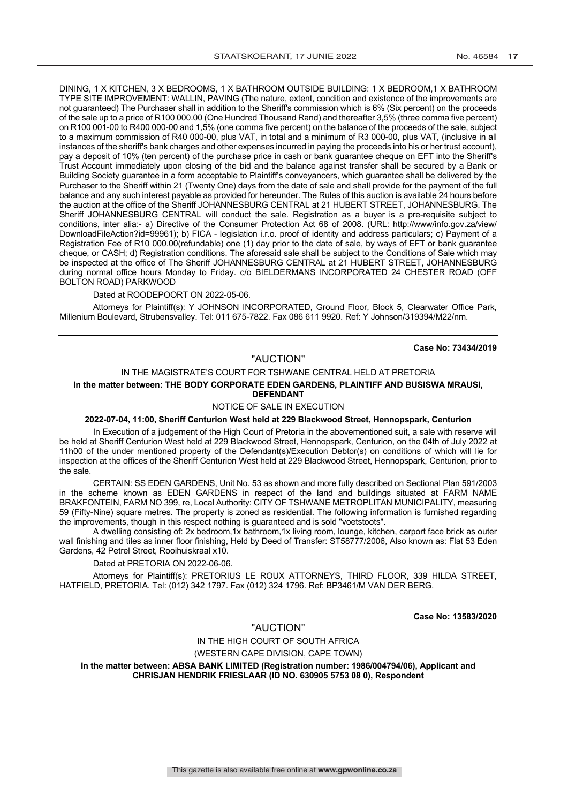DINING, 1 X KITCHEN, 3 X BEDROOMS, 1 X BATHROOM OUTSIDE BUILDING: 1 X BEDROOM,1 X BATHROOM TYPE SITE IMPROVEMENT: WALLIN, PAVING (The nature, extent, condition and existence of the improvements are not guaranteed) The Purchaser shall in addition to the Sheriff's commission which is 6% (Six percent) on the proceeds of the sale up to a price of R100 000.00 (One Hundred Thousand Rand) and thereafter 3,5% (three comma five percent) on R100 001-00 to R400 000-00 and 1,5% (one comma five percent) on the balance of the proceeds of the sale, subject to a maximum commission of R40 000-00, plus VAT, in total and a minimum of R3 000-00, plus VAT, (inclusive in all instances of the sheriff's bank charges and other expenses incurred in paying the proceeds into his or her trust account), pay a deposit of 10% (ten percent) of the purchase price in cash or bank guarantee cheque on EFT into the Sheriff's Trust Account immediately upon closing of the bid and the balance against transfer shall be secured by a Bank or Building Society guarantee in a form acceptable to Plaintiff's conveyancers, which guarantee shall be delivered by the Purchaser to the Sheriff within 21 (Twenty One) days from the date of sale and shall provide for the payment of the full balance and any such interest payable as provided for hereunder. The Rules of this auction is available 24 hours before the auction at the office of the Sheriff JOHANNESBURG CENTRAL at 21 HUBERT STREET, JOHANNESBURG. The Sheriff JOHANNESBURG CENTRAL will conduct the sale. Registration as a buyer is a pre-requisite subject to conditions, inter alia:- a) Directive of the Consumer Protection Act 68 of 2008. (URL: http://www/info.gov.za/view/ DownloadFileAction?id=99961); b) FICA - legislation i.r.o. proof of identity and address particulars; c) Payment of a Registration Fee of R10 000.00(refundable) one (1) day prior to the date of sale, by ways of EFT or bank guarantee cheque, or CASH; d) Registration conditions. The aforesaid sale shall be subject to the Conditions of Sale which may be inspected at the office of The Sheriff JOHANNESBURG CENTRAL at 21 HUBERT STREET, JOHANNESBURG during normal office hours Monday to Friday. c/o BIELDERMANS INCORPORATED 24 CHESTER ROAD (OFF BOLTON ROAD) PARKWOOD

Dated at ROODEPOORT ON 2022-05-06.

Attorneys for Plaintiff(s): Y JOHNSON INCORPORATED, Ground Floor, Block 5, Clearwater Office Park, Millenium Boulevard, Strubensvalley. Tel: 011 675-7822. Fax 086 611 9920. Ref: Y Johnson/319394/M22/nm.

**Case No: 73434/2019**

## "AUCTION"

#### IN THE MAGISTRATE'S COURT FOR TSHWANE CENTRAL HELD AT PRETORIA

#### **In the matter between: THE BODY CORPORATE EDEN GARDENS, PLAINTIFF AND BUSISWA MRAUSI, DEFENDANT**

## NOTICE OF SALE IN EXECUTION

## **2022-07-04, 11:00, Sheriff Centurion West held at 229 Blackwood Street, Hennopspark, Centurion**

In Execution of a judgement of the High Court of Pretoria in the abovementioned suit, a sale with reserve will be held at Sheriff Centurion West held at 229 Blackwood Street, Hennopspark, Centurion, on the 04th of July 2022 at 11h00 of the under mentioned property of the Defendant(s)/Execution Debtor(s) on conditions of which will lie for inspection at the offices of the Sheriff Centurion West held at 229 Blackwood Street, Hennopspark, Centurion, prior to the sale.

CERTAIN: SS EDEN GARDENS, Unit No. 53 as shown and more fully described on Sectional Plan 591/2003 in the scheme known as EDEN GARDENS in respect of the land and buildings situated at FARM NAME BRAKFONTEIN, FARM NO 399, re, Local Authority: CITY OF TSHWANE METROPLITAN MUNICIPALITY, measuring 59 (Fifty-Nine) square metres. The property is zoned as residential. The following information is furnished regarding the improvements, though in this respect nothing is guaranteed and is sold "voetstoots".

A dwelling consisting of: 2x bedroom,1x bathroom,1x living room, lounge, kitchen, carport face brick as outer wall finishing and tiles as inner floor finishing, Held by Deed of Transfer: ST58777/2006, Also known as: Flat 53 Eden Gardens, 42 Petrel Street, Rooihuiskraal x10.

Dated at PRETORIA ON 2022-06-06.

Attorneys for Plaintiff(s): PRETORIUS LE ROUX ATTORNEYS, THIRD FLOOR, 339 HILDA STREET, HATFIELD, PRETORIA. Tel: (012) 342 1797. Fax (012) 324 1796. Ref: BP3461/M VAN DER BERG.

**Case No: 13583/2020**

#### "AUCTION"

IN THE HIGH COURT OF SOUTH AFRICA (WESTERN CAPE DIVISION, CAPE TOWN)

**In the matter between: ABSA BANK LIMITED (Registration number: 1986/004794/06), Applicant and CHRISJAN HENDRIK FRIESLAAR (ID NO. 630905 5753 08 0), Respondent**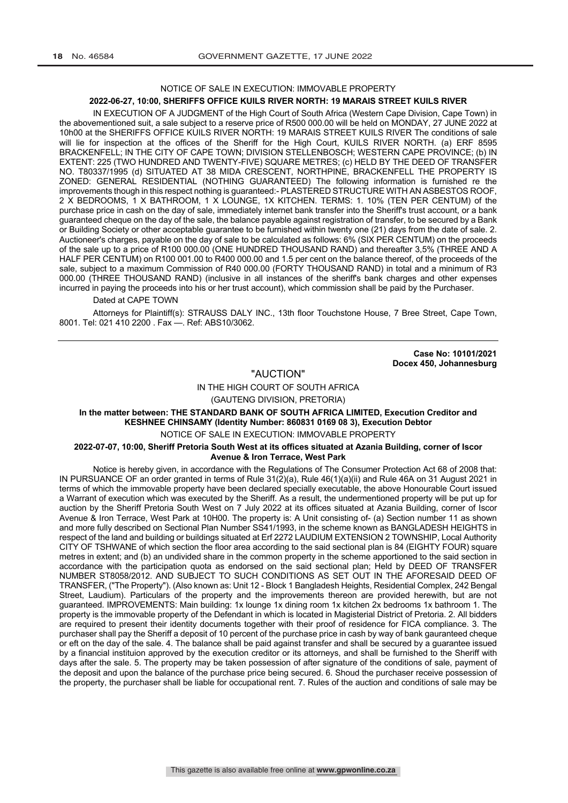## NOTICE OF SALE IN EXECUTION: IMMOVABLE PROPERTY

#### **2022-06-27, 10:00, SHERIFFS OFFICE KUILS RIVER NORTH: 19 MARAIS STREET KUILS RIVER**

IN EXECUTION OF A JUDGMENT of the High Court of South Africa (Western Cape Division, Cape Town) in the abovementioned suit, a sale subject to a reserve price of R500 000.00 will be held on MONDAY, 27 JUNE 2022 at 10h00 at the SHERIFFS OFFICE KUILS RIVER NORTH: 19 MARAIS STREET KUILS RIVER The conditions of sale will lie for inspection at the offices of the Sheriff for the High Court, KUILS RIVER NORTH. (a) ERF 8595 BRACKENFELL; IN THE CITY OF CAPE TOWN; DIVISION STELLENBOSCH; WESTERN CAPE PROVINCE; (b) IN EXTENT: 225 (TWO HUNDRED AND TWENTY-FIVE) SQUARE METRES; (c) HELD BY THE DEED OF TRANSFER NO. T80337/1995 (d) SITUATED AT 38 MIDA CRESCENT, NORTHPINE, BRACKENFELL THE PROPERTY IS ZONED: GENERAL RESIDENTIAL (NOTHING GUARANTEED) The following information is furnished re the improvements though in this respect nothing is guaranteed:- PLASTERED STRUCTURE WITH AN ASBESTOS ROOF, 2 X BEDROOMS, 1 X BATHROOM, 1 X LOUNGE, 1X KITCHEN. TERMS: 1. 10% (TEN PER CENTUM) of the purchase price in cash on the day of sale, immediately internet bank transfer into the Sheriff's trust account, or a bank guaranteed cheque on the day of the sale, the balance payable against registration of transfer, to be secured by a Bank or Building Society or other acceptable guarantee to be furnished within twenty one (21) days from the date of sale. 2. Auctioneer's charges, payable on the day of sale to be calculated as follows: 6% (SIX PER CENTUM) on the proceeds of the sale up to a price of R100 000.00 (ONE HUNDRED THOUSAND RAND) and thereafter 3,5% (THREE AND A HALF PER CENTUM) on R100 001.00 to R400 000.00 and 1.5 per cent on the balance thereof, of the proceeds of the sale, subject to a maximum Commission of R40 000.00 (FORTY THOUSAND RAND) in total and a minimum of R3 000.00 (THREE THOUSAND RAND) (inclusive in all instances of the sheriff's bank charges and other expenses incurred in paying the proceeds into his or her trust account), which commission shall be paid by the Purchaser.

#### Dated at CAPE TOWN

Attorneys for Plaintiff(s): STRAUSS DALY INC., 13th floor Touchstone House, 7 Bree Street, Cape Town, 8001. Tel: 021 410 2200 . Fax -. Ref: ABS10/3062.

> **Case No: 10101/2021 Docex 450, Johannesburg**

## "AUCTION"

IN THE HIGH COURT OF SOUTH AFRICA

(GAUTENG DIVISION, PRETORIA)

## **In the matter between: THE STANDARD BANK OF SOUTH AFRICA LIMITED, Execution Creditor and KESHNEE CHINSAMY (Identity Number: 860831 0169 08 3), Execution Debtor**

## NOTICE OF SALE IN EXECUTION: IMMOVABLE PROPERTY

#### **2022-07-07, 10:00, Sheriff Pretoria South West at its offices situated at Azania Building, corner of Iscor Avenue & Iron Terrace, West Park**

Notice is hereby given, in accordance with the Regulations of The Consumer Protection Act 68 of 2008 that: IN PURSUANCE OF an order granted in terms of Rule 31(2)(a), Rule 46(1)(a)(ii) and Rule 46A on 31 August 2021 in terms of which the immovable property have been declared specially executable, the above Honourable Court issued a Warrant of execution which was executed by the Sheriff. As a result, the undermentioned property will be put up for auction by the Sheriff Pretoria South West on 7 July 2022 at its offices situated at Azania Building, corner of Iscor Avenue & Iron Terrace, West Park at 10H00. The property is: A Unit consisting of- (a) Section number 11 as shown and more fully described on Sectional Plan Number SS41/1993, in the scheme known as BANGLADESH HEIGHTS in respect of the land and building or buildings situated at Erf 2272 LAUDIUM EXTENSION 2 TOWNSHIP, Local Authority CITY OF TSHWANE of which section the floor area according to the said sectional plan is 84 (EIGHTY FOUR) square metres in extent; and (b) an undivided share in the common property in the scheme apportioned to the said section in accordance with the participation quota as endorsed on the said sectional plan; Held by DEED OF TRANSFER NUMBER ST8058/2012. AND SUBJECT TO SUCH CONDITIONS AS SET OUT IN THE AFORESAID DEED OF TRANSFER, ("The Property"). (Also known as: Unit 12 - Block 1 Bangladesh Heights, Residential Complex, 242 Bengal Street, Laudium). Particulars of the property and the improvements thereon are provided herewith, but are not guaranteed. IMPROVEMENTS: Main building: 1x lounge 1x dining room 1x kitchen 2x bedrooms 1x bathroom 1. The property is the immovable property of the Defendant in which is located in Magisterial District of Pretoria. 2. All bidders are required to present their identity documents together with their proof of residence for FICA compliance. 3. The purchaser shall pay the Sheriff a deposit of 10 percent of the purchase price in cash by way of bank gauranteed cheque or eft on the day of the sale. 4. The balance shall be paid against transfer and shall be secured by a guarantee issued by a financial instituion approved by the execution creditor or its attorneys, and shall be furnished to the Sheriff with days after the sale. 5. The property may be taken possession of after signature of the conditions of sale, payment of the deposit and upon the balance of the purchase price being secured. 6. Shoud the purchaser receive possession of the property, the purchaser shall be liable for occupational rent. 7. Rules of the auction and conditions of sale may be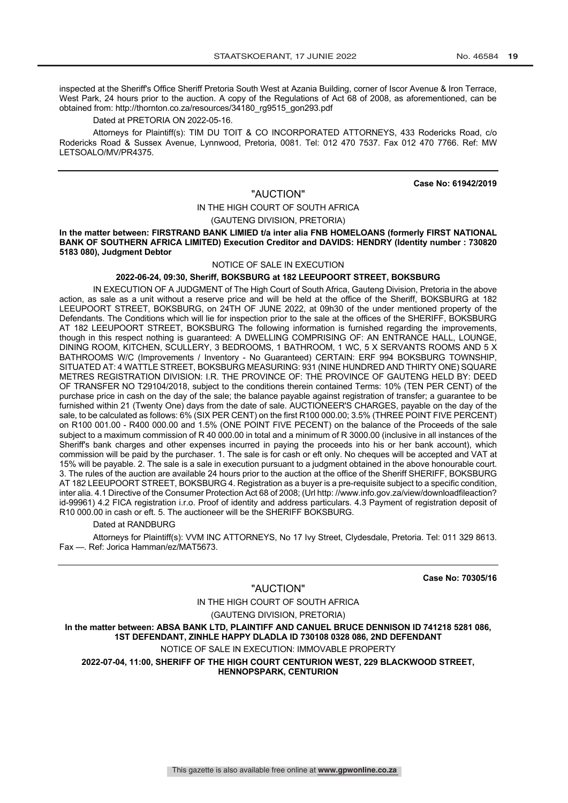inspected at the Sheriff's Office Sheriff Pretoria South West at Azania Building, corner of Iscor Avenue & Iron Terrace, West Park, 24 hours prior to the auction. A copy of the Regulations of Act 68 of 2008, as aforementioned, can be obtained from: http://thornton.co.za/resources/34180\_rg9515\_gon293.pdf

Dated at PRETORIA ON 2022-05-16.

Attorneys for Plaintiff(s): TIM DU TOIT & CO INCORPORATED ATTORNEYS, 433 Rodericks Road, c/o Rodericks Road & Sussex Avenue, Lynnwood, Pretoria, 0081. Tel: 012 470 7537. Fax 012 470 7766. Ref: MW LETSOALO/MV/PR4375.

#### **Case No: 61942/2019**

## "AUCTION"

## IN THE HIGH COURT OF SOUTH AFRICA

(GAUTENG DIVISION, PRETORIA)

In the matter between: FIRSTRAND BANK LIMIED t/a inter alia FNB HOMELOANS (formerly FIRST NATIONAL **BANK OF SOUTHERN AFRICA LIMITED) Execution Creditor and DAVIDS: HENDRY (Identity number : 730820 5183 080), Judgment Debtor**

## NOTICE OF SALE IN EXECUTION

#### **2022-06-24, 09:30, Sheriff, BOKSBURG at 182 LEEUPOORT STREET, BOKSBURG**

IN EXECUTION OF A JUDGMENT of The High Court of South Africa, Gauteng Division, Pretoria in the above action, as sale as a unit without a reserve price and will be held at the office of the Sheriff, BOKSBURG at 182 LEEUPOORT STREET, BOKSBURG, on 24TH OF JUNE 2022, at 09h30 of the under mentioned property of the Defendants. The Conditions which will lie for inspection prior to the sale at the offices of the SHERIFF, BOKSBURG AT 182 LEEUPOORT STREET, BOKSBURG The following information is furnished regarding the improvements, though in this respect nothing is guaranteed: A DWELLING COMPRISING OF: AN ENTRANCE HALL, LOUNGE, DINING ROOM, KITCHEN, SCULLERY, 3 BEDROOMS, 1 BATHROOM, 1 WC, 5 X SERVANTS ROOMS AND 5 X BATHROOMS W/C (Improvements / Inventory - No Guaranteed) CERTAIN: ERF 994 BOKSBURG TOWNSHIP, SITUATED AT: 4 WATTLE STREET, BOKSBURG MEASURING: 931 (NINE HUNDRED AND THIRTY ONE) SQUARE METRES REGISTRATION DIVISION: I.R. THE PROVINCE OF: THE PROVINCE OF GAUTENG HELD BY: DEED OF TRANSFER NO T29104/2018, subject to the conditions therein contained Terms: 10% (TEN PER CENT) of the purchase price in cash on the day of the sale; the balance payable against registration of transfer; a guarantee to be furnished within 21 (Twenty One) days from the date of sale. AUCTIONEER'S CHARGES, payable on the day of the sale, to be calculated as follows: 6% (SIX PER CENT) on the first R100 000.00; 3.5% (THREE POINT FIVE PERCENT) on R100 001.00 - R400 000.00 and 1.5% (ONE POINT FIVE PECENT) on the balance of the Proceeds of the sale subject to a maximum commission of R 40 000.00 in total and a minimum of R 3000.00 (inclusive in all instances of the Sheriff's bank charges and other expenses incurred in paying the proceeds into his or her bank account), which commission will be paid by the purchaser. 1. The sale is for cash or eft only. No cheques will be accepted and VAT at 15% will be payable. 2. The sale is a sale in execution pursuant to a judgment obtained in the above honourable court. 3. The rules of the auction are available 24 hours prior to the auction at the office of the Sheriff SHERIFF, BOKSBURG AT 182 LEEUPOORT STREET, BOKSBURG 4. Registration as a buyer is a pre-requisite subject to a specific condition, inter alia. 4.1 Directive of the Consumer Protection Act 68 of 2008; (Url http: //www.info.gov.za/view/downloadfileaction? id-99961) 4.2 FICA registration i.r.o. Proof of identity and address particulars. 4.3 Payment of registration deposit of R10 000.00 in cash or eft. 5. The auctioneer will be the SHERIFF BOKSBURG.

Dated at RANDBURG

Attorneys for Plaintiff(s): VVM INC ATTORNEYS, No 17 Ivy Street, Clydesdale, Pretoria. Tel: 011 329 8613. Fax —. Ref: Jorica Hamman/ez/MAT5673.

**Case No: 70305/16**

"AUCTION" IN THE HIGH COURT OF SOUTH AFRICA (GAUTENG DIVISION, PRETORIA) **In the matter between: ABSA BANK LTD, PLAINTIFF AND CANUEL BRUCE DENNISON ID 741218 5281 086, 1ST DEFENDANT, ZINHLE HAPPY DLADLA ID 730108 0328 086, 2ND DEFENDANT** NOTICE OF SALE IN EXECUTION: IMMOVABLE PROPERTY **2022-07-04, 11:00, SHERIFF OF THE HIGH COURT CENTURION WEST, 229 BLACKWOOD STREET,** 

**HENNOPSPARK, CENTURION**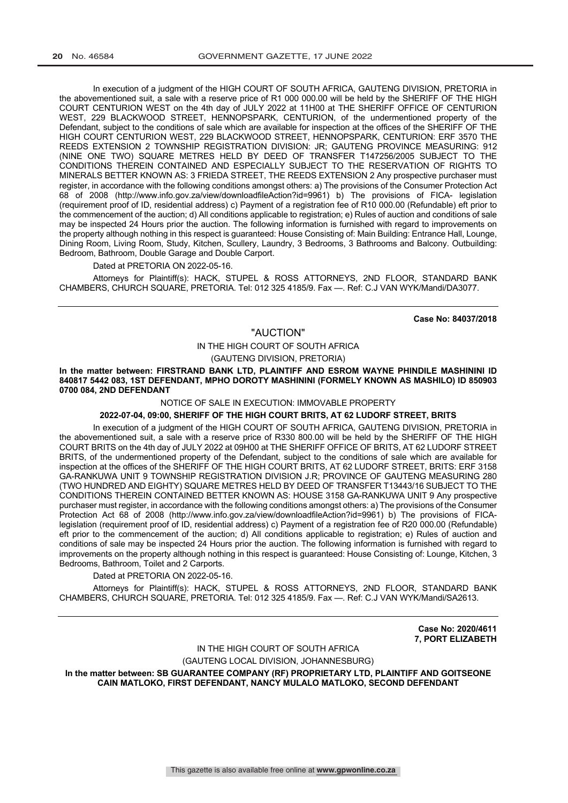In execution of a judgment of the HIGH COURT OF SOUTH AFRICA, GAUTENG DIVISION, PRETORIA in the abovementioned suit, a sale with a reserve price of R1 000 000.00 will be held by the SHERIFF OF THE HIGH COURT CENTURION WEST on the 4th day of JULY 2022 at 11H00 at THE SHERIFF OFFICE OF CENTURION WEST, 229 BLACKWOOD STREET, HENNOPSPARK, CENTURION, of the undermentioned property of the Defendant, subject to the conditions of sale which are available for inspection at the offices of the SHERIFF OF THE HIGH COURT CENTURION WEST, 229 BLACKWOOD STREET, HENNOPSPARK, CENTURION: ERF 3570 THE REEDS EXTENSION 2 TOWNSHIP REGISTRATION DIVISION: JR; GAUTENG PROVINCE MEASURING: 912 (NINE ONE TWO) SQUARE METRES HELD BY DEED OF TRANSFER T147256/2005 SUBJECT TO THE CONDITIONS THEREIN CONTAINED AND ESPECIALLY SUBJECT TO THE RESERVATION OF RIGHTS TO MINERALS BETTER KNOWN AS: 3 FRIEDA STREET, THE REEDS EXTENSION 2 Any prospective purchaser must register, in accordance with the following conditions amongst others: a) The provisions of the Consumer Protection Act 68 of 2008 (http://www.info.gov.za/view/downloadfileAction?id=9961) b) The provisions of FICA- legislation (requirement proof of ID, residential address) c) Payment of a registration fee of R10 000.00 (Refundable) eft prior to the commencement of the auction; d) All conditions applicable to registration; e) Rules of auction and conditions of sale may be inspected 24 Hours prior the auction. The following information is furnished with regard to improvements on the property although nothing in this respect is guaranteed: House Consisting of: Main Building: Entrance Hall, Lounge, Dining Room, Living Room, Study, Kitchen, Scullery, Laundry, 3 Bedrooms, 3 Bathrooms and Balcony. Outbuilding: Bedroom, Bathroom, Double Garage and Double Carport.

#### Dated at PRETORIA ON 2022-05-16.

Attorneys for Plaintiff(s): HACK, STUPEL & ROSS ATTORNEYS, 2ND FLOOR, STANDARD BANK CHAMBERS, CHURCH SQUARE, PRETORIA. Tel: 012 325 4185/9. Fax —. Ref: C.J VAN WYK/Mandi/DA3077.

**Case No: 84037/2018**

"AUCTION" IN THE HIGH COURT OF SOUTH AFRICA

(GAUTENG DIVISION, PRETORIA)

**In the matter between: FIRSTRAND BANK LTD, PLAINTIFF AND ESROM WAYNE PHINDILE MASHININI ID 840817 5442 083, 1ST DEFENDANT, MPHO DOROTY MASHININI (FORMELY KNOWN AS MASHILO) ID 850903 0700 084, 2ND DEFENDANT**

NOTICE OF SALE IN EXECUTION: IMMOVABLE PROPERTY

## **2022-07-04, 09:00, SHERIFF OF THE HIGH COURT BRITS, AT 62 LUDORF STREET, BRITS**

In execution of a judgment of the HIGH COURT OF SOUTH AFRICA, GAUTENG DIVISION, PRETORIA in the abovementioned suit, a sale with a reserve price of R330 800.00 will be held by the SHERIFF OF THE HIGH COURT BRITS on the 4th day of JULY 2022 at 09H00 at THE SHERIFF OFFICE OF BRITS, AT 62 LUDORF STREET BRITS, of the undermentioned property of the Defendant, subject to the conditions of sale which are available for inspection at the offices of the SHERIFF OF THE HIGH COURT BRITS, AT 62 LUDORF STREET, BRITS: ERF 3158 GA-RANKUWA UNIT 9 TOWNSHIP REGISTRATION DIVISION J.R; PROVINCE OF GAUTENG MEASURING 280 (TWO HUNDRED AND EIGHTY) SQUARE METRES HELD BY DEED OF TRANSFER T13443/16 SUBJECT TO THE CONDITIONS THEREIN CONTAINED BETTER KNOWN AS: HOUSE 3158 GA-RANKUWA UNIT 9 Any prospective purchaser must register, in accordance with the following conditions amongst others: a) The provisions of the Consumer Protection Act 68 of 2008 (http://www.info.gov.za/view/downloadfileAction?id=9961) b) The provisions of FICAlegislation (requirement proof of ID, residential address) c) Payment of a registration fee of R20 000.00 (Refundable) eft prior to the commencement of the auction; d) All conditions applicable to registration; e) Rules of auction and conditions of sale may be inspected 24 Hours prior the auction. The following information is furnished with regard to improvements on the property although nothing in this respect is guaranteed: House Consisting of: Lounge, Kitchen, 3 Bedrooms, Bathroom, Toilet and 2 Carports.

#### Dated at PRETORIA ON 2022-05-16.

Attorneys for Plaintiff(s): HACK, STUPEL & ROSS ATTORNEYS, 2ND FLOOR, STANDARD BANK CHAMBERS, CHURCH SQUARE, PRETORIA. Tel: 012 325 4185/9. Fax —. Ref: C.J VAN WYK/Mandi/SA2613.

> **Case No: 2020/4611 7, PORT ELIZABETH**

IN THE HIGH COURT OF SOUTH AFRICA

(GAUTENG LOCAL DIVISION, JOHANNESBURG) **In the matter between: SB GUARANTEE COMPANY (RF) PROPRIETARY LTD, PLAINTIFF AND GOITSEONE CAIN MATLOKO, FIRST DEFENDANT, NANCY MULALO MATLOKO, SECOND DEFENDANT**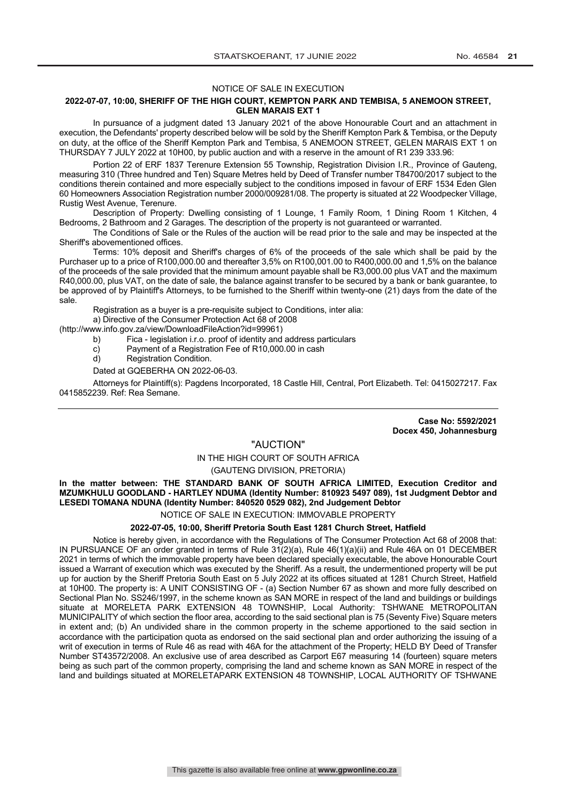#### NOTICE OF SALE IN EXECUTION

#### **2022-07-07, 10:00, SHERIFF OF THE HIGH COURT, KEMPTON PARK AND TEMBISA, 5 ANEMOON STREET, GLEN MARAIS EXT 1**

In pursuance of a judgment dated 13 January 2021 of the above Honourable Court and an attachment in execution, the Defendants' property described below will be sold by the Sheriff Kempton Park & Tembisa, or the Deputy on duty, at the office of the Sheriff Kempton Park and Tembisa, 5 ANEMOON STREET, GELEN MARAIS EXT 1 on THURSDAY 7 JULY 2022 at 10H00, by public auction and with a reserve in the amount of R1 239 333.96:

Portion 22 of ERF 1837 Terenure Extension 55 Township, Registration Division I.R., Province of Gauteng, measuring 310 (Three hundred and Ten) Square Metres held by Deed of Transfer number T84700/2017 subject to the conditions therein contained and more especially subject to the conditions imposed in favour of ERF 1534 Eden Glen 60 Homeowners Association Registration number 2000/009281/08. The property is situated at 22 Woodpecker Village, Rustig West Avenue, Terenure.

Description of Property: Dwelling consisting of 1 Lounge, 1 Family Room, 1 Dining Room 1 Kitchen, 4 Bedrooms, 2 Bathroom and 2 Garages. The description of the property is not guaranteed or warranted.

The Conditions of Sale or the Rules of the auction will be read prior to the sale and may be inspected at the Sheriff's abovementioned offices.

Terms: 10% deposit and Sheriff's charges of 6% of the proceeds of the sale which shall be paid by the Purchaser up to a price of R100,000.00 and thereafter 3,5% on R100,001.00 to R400,000.00 and 1,5% on the balance of the proceeds of the sale provided that the minimum amount payable shall be R3,000.00 plus VAT and the maximum R40,000.00, plus VAT, on the date of sale, the balance against transfer to be secured by a bank or bank guarantee, to be approved of by Plaintiff's Attorneys, to be furnished to the Sheriff within twenty-one (21) days from the date of the sale.

Registration as a buyer is a pre-requisite subject to Conditions, inter alia:

a) Directive of the Consumer Protection Act 68 of 2008

(http://www.info.gov.za/view/DownloadFileAction?id=99961)

- b) Fica legislation i.r.o. proof of identity and address particulars
- c) Payment of a Registration Fee of R10,000.00 in cash<br>d) Registration Condition.
- Registration Condition.

Dated at GQEBERHA ON 2022-06-03.

Attorneys for Plaintiff(s): Pagdens Incorporated, 18 Castle Hill, Central, Port Elizabeth. Tel: 0415027217. Fax 0415852239. Ref: Rea Semane.

> **Case No: 5592/2021 Docex 450, Johannesburg**

## "AUCTION"

#### IN THE HIGH COURT OF SOUTH AFRICA

#### (GAUTENG DIVISION, PRETORIA)

**In the matter between: THE STANDARD BANK OF SOUTH AFRICA LIMITED, Execution Creditor and MZUMKHULU GOODLAND - HARTLEY NDUMA (Identity Number: 810923 5497 089), 1st Judgment Debtor and LESEDI TOMANA NDUNA (Identity Number: 840520 0529 082), 2nd Judgement Debtor**

## NOTICE OF SALE IN EXECUTION: IMMOVABLE PROPERTY

## **2022-07-05, 10:00, Sheriff Pretoria South East 1281 Church Street, Hatfield**

Notice is hereby given, in accordance with the Regulations of The Consumer Protection Act 68 of 2008 that: IN PURSUANCE OF an order granted in terms of Rule 31(2)(a), Rule 46(1)(a)(ii) and Rule 46A on 01 DECEMBER 2021 in terms of which the immovable property have been declared specially executable, the above Honourable Court issued a Warrant of execution which was executed by the Sheriff. As a result, the undermentioned property will be put up for auction by the Sheriff Pretoria South East on 5 July 2022 at its offices situated at 1281 Church Street, Hatfield at 10H00. The property is: A UNIT CONSISTING OF - (a) Section Number 67 as shown and more fully described on Sectional Plan No. SS246/1997, in the scheme known as SAN MORE in respect of the land and buildings or buildings situate at MORELETA PARK EXTENSION 48 TOWNSHIP, Local Authority: TSHWANE METROPOLITAN MUNICIPALITY of which section the floor area, according to the said sectional plan is 75 (Seventy Five) Square meters in extent and; (b) An undivided share in the common property in the scheme apportioned to the said section in accordance with the participation quota as endorsed on the said sectional plan and order authorizing the issuing of a writ of execution in terms of Rule 46 as read with 46A for the attachment of the Property; HELD BY Deed of Transfer Number ST43572/2008. An exclusive use of area described as Carport E67 measuring 14 (fourteen) square meters being as such part of the common property, comprising the land and scheme known as SAN MORE in respect of the land and buildings situated at MORELETAPARK EXTENSION 48 TOWNSHIP, LOCAL AUTHORITY OF TSHWANE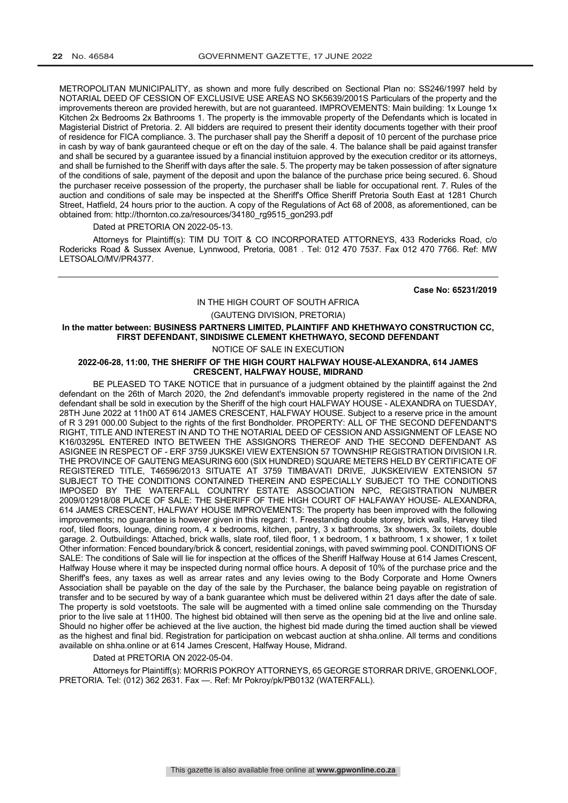METROPOLITAN MUNICIPALITY, as shown and more fully described on Sectional Plan no: SS246/1997 held by NOTARIAL DEED OF CESSION OF EXCLUSIVE USE AREAS NO SK5639/2001S Particulars of the property and the improvements thereon are provided herewith, but are not guaranteed. IMPROVEMENTS: Main building: 1x Lounge 1x Kitchen 2x Bedrooms 2x Bathrooms 1. The property is the immovable property of the Defendants which is located in Magisterial District of Pretoria. 2. All bidders are required to present their identity documents together with their proof of residence for FICA compliance. 3. The purchaser shall pay the Sheriff a deposit of 10 percent of the purchase price in cash by way of bank gauranteed cheque or eft on the day of the sale. 4. The balance shall be paid against transfer and shall be secured by a guarantee issued by a financial instituion approved by the execution creditor or its attorneys, and shall be furnished to the Sheriff with days after the sale. 5. The property may be taken possession of after signature of the conditions of sale, payment of the deposit and upon the balance of the purchase price being secured. 6. Shoud the purchaser receive possession of the property, the purchaser shall be liable for occupational rent. 7. Rules of the auction and conditions of sale may be inspected at the Sheriff's Office Sheriff Pretoria South East at 1281 Church Street, Hatfield, 24 hours prior to the auction. A copy of the Regulations of Act 68 of 2008, as aforementioned, can be obtained from: http://thornton.co.za/resources/34180\_rg9515\_gon293.pdf

Dated at PRETORIA ON 2022-05-13.

Attorneys for Plaintiff(s): TIM DU TOIT & CO INCORPORATED ATTORNEYS, 433 Rodericks Road, c/o Rodericks Road & Sussex Avenue, Lynnwood, Pretoria, 0081 . Tel: 012 470 7537. Fax 012 470 7766. Ref: MW LETSOALO/MV/PR4377.

**Case No: 65231/2019**

## IN THE HIGH COURT OF SOUTH AFRICA

(GAUTENG DIVISION, PRETORIA)

## **In the matter between: BUSINESS PARTNERS LIMITED, PLAINTIFF AND KHETHWAYO CONSTRUCTION CC, FIRST DEFENDANT, SINDISIWE CLEMENT KHETHWAYO, SECOND DEFENDANT**

NOTICE OF SALE IN EXECUTION

#### **2022-06-28, 11:00, THE SHERIFF OF THE HIGH COURT HALFWAY HOUSE-ALEXANDRA, 614 JAMES CRESCENT, HALFWAY HOUSE, MIDRAND**

BE PLEASED TO TAKE NOTICE that in pursuance of a judgment obtained by the plaintiff against the 2nd defendant on the 26th of March 2020, the 2nd defendant's immovable property registered in the name of the 2nd defendant shall be sold in execution by the Sheriff of the high court HALFWAY HOUSE - ALEXANDRA on TUESDAY, 28TH June 2022 at 11h00 AT 614 JAMES CRESCENT, HALFWAY HOUSE. Subject to a reserve price in the amount of R 3 291 000.00 Subject to the rights of the first Bondholder. PROPERTY: ALL OF THE SECOND DEFENDANT'S RIGHT, TITLE AND INTEREST IN AND TO THE NOTARIAL DEED OF CESSION AND ASSIGNMENT OF LEASE NO K16/03295L ENTERED INTO BETWEEN THE ASSIGNORS THEREOF AND THE SECOND DEFENDANT AS ASIGNEE IN RESPECT OF - ERF 3759 JUKSKEI VIEW EXTENSION 57 TOWNSHIP REGISTRATION DIVISION I.R. THE PROVINCE OF GAUTENG MEASURING 600 (SIX HUNDRED) SQUARE METERS HELD BY CERTIFICATE OF REGISTERED TITLE, T46596/2013 SITUATE AT 3759 TIMBAVATI DRIVE, JUKSKEIVIEW EXTENSION 57 SUBJECT TO THE CONDITIONS CONTAINED THEREIN AND ESPECIALLY SUBJECT TO THE CONDITIONS IMPOSED BY THE WATERFALL COUNTRY ESTATE ASSOCIATION NPC, REGISTRATION NUMBER 2009/012918/08 PLACE OF SALE: THE SHERIFF OF THE HIGH COURT OF HALFAWAY HOUSE- ALEXANDRA, 614 JAMES CRESCENT, HALFWAY HOUSE IMPROVEMENTS: The property has been improved with the following improvements; no guarantee is however given in this regard: 1. Freestanding double storey, brick walls, Harvey tiled roof, tiled floors, lounge, dining room, 4 x bedrooms, kitchen, pantry, 3 x bathrooms, 3x showers, 3x toilets, double garage. 2. Outbuildings: Attached, brick walls, slate roof, tiled floor, 1 x bedroom, 1 x bathroom, 1 x shower, 1 x toilet Other information: Fenced boundary/brick & concert, residential zonings, with paved swimming pool. CONDITIONS OF SALE: The conditions of Sale will lie for inspection at the offices of the Sheriff Halfway House at 614 James Crescent, Halfway House where it may be inspected during normal office hours. A deposit of 10% of the purchase price and the Sheriff's fees, any taxes as well as arrear rates and any levies owing to the Body Corporate and Home Owners Association shall be payable on the day of the sale by the Purchaser, the balance being payable on registration of transfer and to be secured by way of a bank guarantee which must be delivered within 21 days after the date of sale. The property is sold voetstoots. The sale will be augmented with a timed online sale commending on the Thursday prior to the live sale at 11H00. The highest bid obtained will then serve as the opening bid at the live and online sale. Should no higher offer be achieved at the live auction, the highest bid made during the timed auction shall be viewed as the highest and final bid. Registration for participation on webcast auction at shha.online. All terms and conditions available on shha.online or at 614 James Crescent, Halfway House, Midrand.

#### Dated at PRETORIA ON 2022-05-04.

Attorneys for Plaintiff(s): MORRIS POKROY ATTORNEYS, 65 GEORGE STORRAR DRIVE, GROENKLOOF, PRETORIA. Tel: (012) 362 2631. Fax —. Ref: Mr Pokroy/pk/PB0132 (WATERFALL).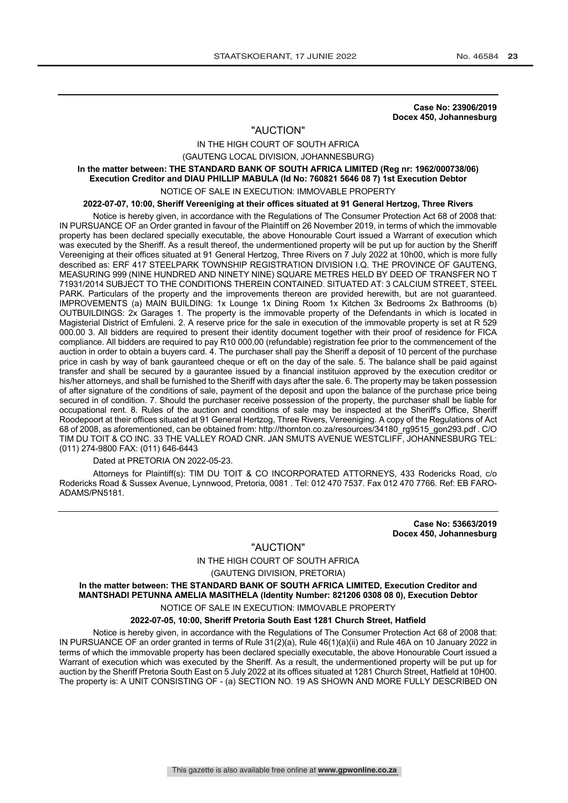**Case No: 23906/2019 Docex 450, Johannesburg**

## "AUCTION"

IN THE HIGH COURT OF SOUTH AFRICA (GAUTENG LOCAL DIVISION, JOHANNESBURG)

#### **In the matter between: THE STANDARD BANK OF SOUTH AFRICA LIMITED (Reg nr: 1962/000738/06) Execution Creditor and DIAU PHILLIP MABULA (Id No: 760821 5646 08 7) 1st Execution Debtor**

#### NOTICE OF SALE IN EXECUTION: IMMOVABLE PROPERTY

**2022-07-07, 10:00, Sheriff Vereeniging at their offices situated at 91 General Hertzog, Three Rivers**

Notice is hereby given, in accordance with the Regulations of The Consumer Protection Act 68 of 2008 that: IN PURSUANCE OF an Order granted in favour of the Plaintiff on 26 November 2019, in terms of which the immovable property has been declared specially executable, the above Honourable Court issued a Warrant of execution which was executed by the Sheriff. As a result thereof, the undermentioned property will be put up for auction by the Sheriff Vereeniging at their offices situated at 91 General Hertzog, Three Rivers on 7 July 2022 at 10h00, which is more fully described as: ERF 417 STEELPARK TOWNSHIP REGISTRATION DIVISION I.Q. THE PROVINCE OF GAUTENG, MEASURING 999 (NINE HUNDRED AND NINETY NINE) SQUARE METRES HELD BY DEED OF TRANSFER NO T 71931/2014 SUBJECT TO THE CONDITIONS THEREIN CONTAINED. SITUATED AT: 3 CALCIUM STREET, STEEL PARK. Particulars of the property and the improvements thereon are provided herewith, but are not guaranteed. IMPROVEMENTS (a) MAIN BUILDING: 1x Lounge 1x Dining Room 1x Kitchen 3x Bedrooms 2x Bathrooms (b) OUTBUILDINGS: 2x Garages 1. The property is the immovable property of the Defendants in which is located in Magisterial District of Emfuleni. 2. A reserve price for the sale in execution of the immovable property is set at R 529 000.00 3. All bidders are required to present their identity document together with their proof of residence for FICA compliance. All bidders are required to pay R10 000.00 (refundable) registration fee prior to the commencement of the auction in order to obtain a buyers card. 4. The purchaser shall pay the Sheriff a deposit of 10 percent of the purchase price in cash by way of bank gauranteed cheque or eft on the day of the sale. 5. The balance shall be paid against transfer and shall be secured by a gaurantee issued by a financial instituion approved by the execution creditor or his/her attorneys, and shall be furnished to the Sheriff with days after the sale. 6. The property may be taken possession of after signature of the conditions of sale, payment of the deposit and upon the balance of the purchase price being secured in of condition. 7. Should the purchaser receive possession of the property, the purchaser shall be liable for occupational rent. 8. Rules of the auction and conditions of sale may be inspected at the Sheriff's Office, Sheriff Roodepoort at their offices situated at 91 General Hertzog, Three Rivers, Vereeniging. A copy of the Regulations of Act 68 of 2008, as aforementioned, can be obtained from: http://thornton.co.za/resources/34180\_rg9515\_gon293.pdf . C/O TIM DU TOIT & CO INC. 33 THE VALLEY ROAD CNR. JAN SMUTS AVENUE WESTCLIFF, JOHANNESBURG TEL: (011) 274-9800 FAX: (011) 646-6443

#### Dated at PRETORIA ON 2022-05-23.

Attorneys for Plaintiff(s): TIM DU TOIT & CO INCORPORATED ATTORNEYS, 433 Rodericks Road, c/o Rodericks Road & Sussex Avenue, Lynnwood, Pretoria, 0081 . Tel: 012 470 7537. Fax 012 470 7766. Ref: EB FARO-ADAMS/PN5181.

> **Case No: 53663/2019 Docex 450, Johannesburg**

## "AUCTION"

## IN THE HIGH COURT OF SOUTH AFRICA

(GAUTENG DIVISION, PRETORIA)

## **In the matter between: THE STANDARD BANK OF SOUTH AFRICA LIMITED, Execution Creditor and MANTSHADI PETUNNA AMELIA MASITHELA (Identity Number: 821206 0308 08 0), Execution Debtor**

## NOTICE OF SALE IN EXECUTION: IMMOVABLE PROPERTY

#### **2022-07-05, 10:00, Sheriff Pretoria South East 1281 Church Street, Hatfield**

Notice is hereby given, in accordance with the Regulations of The Consumer Protection Act 68 of 2008 that: IN PURSUANCE OF an order granted in terms of Rule 31(2)(a), Rule 46(1)(a)(ii) and Rule 46A on 10 January 2022 in terms of which the immovable property has been declared specially executable, the above Honourable Court issued a Warrant of execution which was executed by the Sheriff. As a result, the undermentioned property will be put up for auction by the Sheriff Pretoria South East on 5 July 2022 at its offices situated at 1281 Church Street, Hatfield at 10H00. The property is: A UNIT CONSISTING OF - (a) SECTION NO. 19 AS SHOWN AND MORE FULLY DESCRIBED ON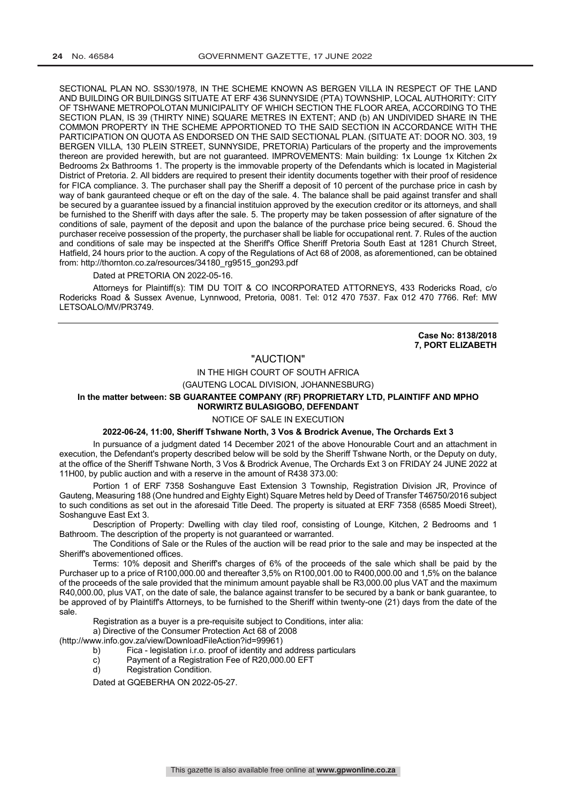SECTIONAL PLAN NO. SS30/1978, IN THE SCHEME KNOWN AS BERGEN VILLA IN RESPECT OF THE LAND AND BUILDING OR BUILDINGS SITUATE AT ERF 436 SUNNYSIDE (PTA) TOWNSHIP, LOCAL AUTHORITY: CITY OF TSHWANE METROPOLOTAN MUNICIPALITY OF WHICH SECTION THE FLOOR AREA, ACCORDING TO THE SECTION PLAN, IS 39 (THIRTY NINE) SQUARE METRES IN EXTENT; AND (b) AN UNDIVIDED SHARE IN THE COMMON PROPERTY IN THE SCHEME APPORTIONED TO THE SAID SECTION IN ACCORDANCE WITH THE PARTICIPATION ON QUOTA AS ENDORSED ON THE SAID SECTIONAL PLAN. (SITUATE AT: DOOR NO. 303, 19 BERGEN VILLA, 130 PLEIN STREET, SUNNYSIDE, PRETORIA) Particulars of the property and the improvements thereon are provided herewith, but are not guaranteed. IMPROVEMENTS: Main building: 1x Lounge 1x Kitchen 2x Bedrooms 2x Bathrooms 1. The property is the immovable property of the Defendants which is located in Magisterial District of Pretoria. 2. All bidders are required to present their identity documents together with their proof of residence for FICA compliance. 3. The purchaser shall pay the Sheriff a deposit of 10 percent of the purchase price in cash by way of bank gauranteed cheque or eft on the day of the sale. 4. The balance shall be paid against transfer and shall be secured by a guarantee issued by a financial instituion approved by the execution creditor or its attorneys, and shall be furnished to the Sheriff with days after the sale. 5. The property may be taken possession of after signature of the conditions of sale, payment of the deposit and upon the balance of the purchase price being secured. 6. Shoud the purchaser receive possession of the property, the purchaser shall be liable for occupational rent. 7. Rules of the auction and conditions of sale may be inspected at the Sheriff's Office Sheriff Pretoria South East at 1281 Church Street, Hatfield, 24 hours prior to the auction. A copy of the Regulations of Act 68 of 2008, as aforementioned, can be obtained from: http://thornton.co.za/resources/34180\_rg9515\_gon293.pdf

#### Dated at PRETORIA ON 2022-05-16.

Attorneys for Plaintiff(s): TIM DU TOIT & CO INCORPORATED ATTORNEYS, 433 Rodericks Road, c/o Rodericks Road & Sussex Avenue, Lynnwood, Pretoria, 0081. Tel: 012 470 7537. Fax 012 470 7766. Ref: MW LETSOALO/MV/PR3749.

> **Case No: 8138/2018 7, PORT ELIZABETH**

## "AUCTION"

## IN THE HIGH COURT OF SOUTH AFRICA

(GAUTENG LOCAL DIVISION, JOHANNESBURG)

#### **In the matter between: SB GUARANTEE COMPANY (RF) PROPRIETARY LTD, PLAINTIFF AND MPHO NORWIRTZ BULASIGOBO, DEFENDANT**

#### NOTICE OF SALE IN EXECUTION

### **2022-06-24, 11:00, Sheriff Tshwane North, 3 Vos & Brodrick Avenue, The Orchards Ext 3**

In pursuance of a judgment dated 14 December 2021 of the above Honourable Court and an attachment in execution, the Defendant's property described below will be sold by the Sheriff Tshwane North, or the Deputy on duty, at the office of the Sheriff Tshwane North, 3 Vos & Brodrick Avenue, The Orchards Ext 3 on FRIDAY 24 JUNE 2022 at 11H00, by public auction and with a reserve in the amount of R438 373.00:

Portion 1 of ERF 7358 Soshanguve East Extension 3 Township, Registration Division JR, Province of Gauteng, Measuring 188 (One hundred and Eighty Eight) Square Metres held by Deed of Transfer T46750/2016 subject to such conditions as set out in the aforesaid Title Deed. The property is situated at ERF 7358 (6585 Moedi Street), Soshanguve East Ext 3.

Description of Property: Dwelling with clay tiled roof, consisting of Lounge, Kitchen, 2 Bedrooms and 1 Bathroom. The description of the property is not guaranteed or warranted.

The Conditions of Sale or the Rules of the auction will be read prior to the sale and may be inspected at the Sheriff's abovementioned offices.

Terms: 10% deposit and Sheriff's charges of 6% of the proceeds of the sale which shall be paid by the Purchaser up to a price of R100,000.00 and thereafter 3,5% on R100,001.00 to R400,000.00 and 1,5% on the balance of the proceeds of the sale provided that the minimum amount payable shall be R3,000.00 plus VAT and the maximum R40,000.00, plus VAT, on the date of sale, the balance against transfer to be secured by a bank or bank guarantee, to be approved of by Plaintiff's Attorneys, to be furnished to the Sheriff within twenty-one (21) days from the date of the sale.

Registration as a buyer is a pre-requisite subject to Conditions, inter alia:

a) Directive of the Consumer Protection Act 68 of 2008

(http://www.info.gov.za/view/DownloadFileAction?id=99961)

- b) Fica legislation i.r.o. proof of identity and address particulars
- c) Payment of a Registration Fee of R20,000.00 EFT<br>d) Registration Condition.
- Registration Condition.

Dated at GQEBERHA ON 2022-05-27.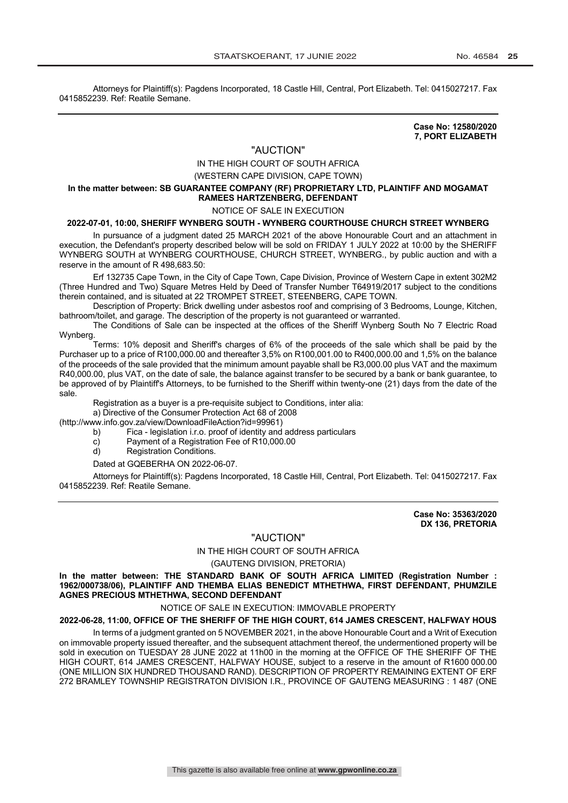Attorneys for Plaintiff(s): Pagdens Incorporated, 18 Castle Hill, Central, Port Elizabeth. Tel: 0415027217. Fax 0415852239. Ref: Reatile Semane.

> **Case No: 12580/2020 7, PORT ELIZABETH**

#### "AUCTION"

## IN THE HIGH COURT OF SOUTH AFRICA

(WESTERN CAPE DIVISION, CAPE TOWN)

#### **In the matter between: SB GUARANTEE COMPANY (RF) PROPRIETARY LTD, PLAINTIFF AND MOGAMAT RAMEES HARTZENBERG, DEFENDANT**

#### NOTICE OF SALE IN EXECUTION

## **2022-07-01, 10:00, SHERIFF WYNBERG SOUTH - WYNBERG COURTHOUSE CHURCH STREET WYNBERG**

In pursuance of a judgment dated 25 MARCH 2021 of the above Honourable Court and an attachment in execution, the Defendant's property described below will be sold on FRIDAY 1 JULY 2022 at 10:00 by the SHERIFF WYNBERG SOUTH at WYNBERG COURTHOUSE, CHURCH STREET, WYNBERG., by public auction and with a reserve in the amount of R 498,683.50:

Erf 132735 Cape Town, in the City of Cape Town, Cape Division, Province of Western Cape in extent 302M2 (Three Hundred and Two) Square Metres Held by Deed of Transfer Number T64919/2017 subject to the conditions therein contained, and is situated at 22 TROMPET STREET, STEENBERG, CAPE TOWN.

Description of Property: Brick dwelling under asbestos roof and comprising of 3 Bedrooms, Lounge, Kitchen, bathroom/toilet, and garage. The description of the property is not guaranteed or warranted.

The Conditions of Sale can be inspected at the offices of the Sheriff Wynberg South No 7 Electric Road Wynberg.

Terms: 10% deposit and Sheriff's charges of 6% of the proceeds of the sale which shall be paid by the Purchaser up to a price of R100,000.00 and thereafter 3,5% on R100,001.00 to R400,000.00 and 1,5% on the balance of the proceeds of the sale provided that the minimum amount payable shall be R3,000.00 plus VAT and the maximum R40,000.00, plus VAT, on the date of sale, the balance against transfer to be secured by a bank or bank guarantee, to be approved of by Plaintiff's Attorneys, to be furnished to the Sheriff within twenty-one (21) days from the date of the sale.

Registration as a buyer is a pre-requisite subject to Conditions, inter alia:

a) Directive of the Consumer Protection Act 68 of 2008

(http://www.info.gov.za/view/DownloadFileAction?id=99961)

b) Fica - legislation i.r.o. proof of identity and address particulars

- c) Payment of a Registration Fee of R10,000.00
- d) Registration Conditions.

Dated at GQEBERHA ON 2022-06-07.

Attorneys for Plaintiff(s): Pagdens Incorporated, 18 Castle Hill, Central, Port Elizabeth. Tel: 0415027217. Fax 0415852239. Ref: Reatile Semane.

> **Case No: 35363/2020 DX 136, PRETORIA**

## "AUCTION"

IN THE HIGH COURT OF SOUTH AFRICA

(GAUTENG DIVISION, PRETORIA)

**In the matter between: THE STANDARD BANK OF SOUTH AFRICA LIMITED (Registration Number : 1962/000738/06), PLAINTIFF AND THEMBA ELIAS BENEDICT MTHETHWA, FIRST DEFENDANT, PHUMZILE AGNES PRECIOUS MTHETHWA, SECOND DEFENDANT**

NOTICE OF SALE IN EXECUTION: IMMOVABLE PROPERTY

#### **2022-06-28, 11:00, OFFICE OF THE SHERIFF OF THE HIGH COURT, 614 JAMES CRESCENT, HALFWAY HOUS**

In terms of a judgment granted on 5 NOVEMBER 2021, in the above Honourable Court and a Writ of Execution on immovable property issued thereafter, and the subsequent attachment thereof, the undermentioned property will be sold in execution on TUESDAY 28 JUNE 2022 at 11h00 in the morning at the OFFICE OF THE SHERIFF OF THE HIGH COURT, 614 JAMES CRESCENT, HALFWAY HOUSE, subject to a reserve in the amount of R1600 000.00 (ONE MILLION SIX HUNDRED THOUSAND RAND). DESCRIPTION OF PROPERTY REMAINING EXTENT OF ERF 272 BRAMLEY TOWNSHIP REGISTRATON DIVISION I.R., PROVINCE OF GAUTENG MEASURING : 1 487 (ONE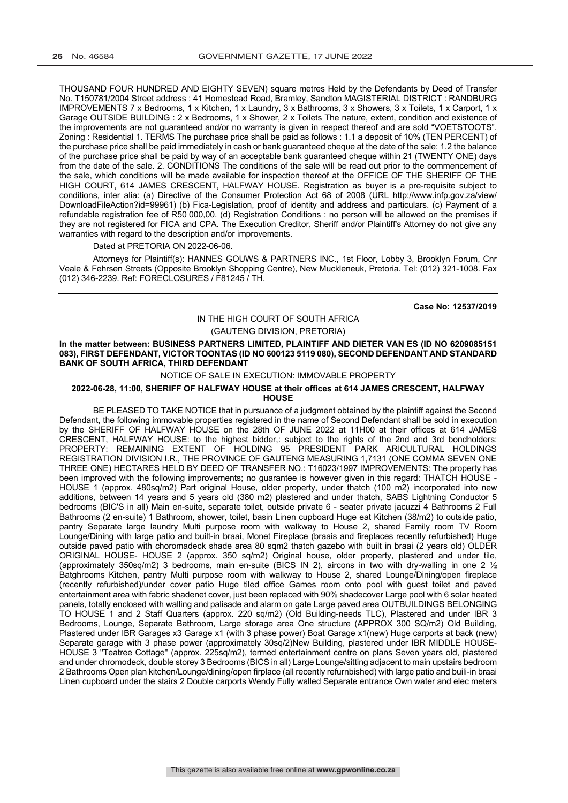THOUSAND FOUR HUNDRED AND EIGHTY SEVEN) square metres Held by the Defendants by Deed of Transfer No. T150781/2004 Street address : 41 Homestead Road, Bramley, Sandton MAGISTERIAL DISTRICT : RANDBURG IMPROVEMENTS 7 x Bedrooms, 1 x Kitchen, 1 x Laundry, 3 x Bathrooms, 3 x Showers, 3 x Toilets, 1 x Carport, 1 x Garage OUTSIDE BUILDING : 2 x Bedrooms, 1 x Shower, 2 x Toilets The nature, extent, condition and existence of the improvements are not guaranteed and/or no warranty is given in respect thereof and are sold "VOETSTOOTS". Zoning : Residential 1. TERMS The purchase price shall be paid as follows : 1.1 a deposit of 10% (TEN PERCENT) of the purchase price shall be paid immediately in cash or bank guaranteed cheque at the date of the sale; 1.2 the balance of the purchase price shall be paid by way of an acceptable bank guaranteed cheque within 21 (TWENTY ONE) days from the date of the sale. 2. CONDITIONS The conditions of the sale will be read out prior to the commencement of the sale, which conditions will be made available for inspection thereof at the OFFICE OF THE SHERIFF OF THE HIGH COURT, 614 JAMES CRESCENT, HALFWAY HOUSE. Registration as buyer is a pre-requisite subject to conditions, inter alia: (a) Directive of the Consumer Protection Act 68 of 2008 (URL http://www.infp.gov.za/view/ DownloadFileAction?id=99961) (b) Fica-Legislation, proof of identity and address and particulars. (c) Payment of a refundable registration fee of R50 000,00. (d) Registration Conditions : no person will be allowed on the premises if they are not registered for FICA and CPA. The Execution Creditor, Sheriff and/or Plaintiff's Attorney do not give any warranties with regard to the description and/or improvements.

Dated at PRETORIA ON 2022-06-06.

Attorneys for Plaintiff(s): HANNES GOUWS & PARTNERS INC., 1st Floor, Lobby 3, Brooklyn Forum, Cnr Veale & Fehrsen Streets (Opposite Brooklyn Shopping Centre), New Muckleneuk, Pretoria. Tel: (012) 321-1008. Fax (012) 346-2239. Ref: FORECLOSURES / F81245 / TH.

**Case No: 12537/2019**

## IN THE HIGH COURT OF SOUTH AFRICA

(GAUTENG DIVISION, PRETORIA)

**In the matter between: BUSINESS PARTNERS LIMITED, PLAINTIFF AND DIETER VAN ES (ID NO 6209085151 083), FIRST DEFENDANT, VICTOR TOONTAS (ID NO 600123 5119 080), SECOND DEFENDANT AND STANDARD BANK OF SOUTH AFRICA, THIRD DEFENDANT**

NOTICE OF SALE IN EXECUTION: IMMOVABLE PROPERTY

#### **2022-06-28, 11:00, SHERIFF OF HALFWAY HOUSE at their offices at 614 JAMES CRESCENT, HALFWAY HOUSE**

BE PLEASED TO TAKE NOTICE that in pursuance of a judgment obtained by the plaintiff against the Second Defendant, the following immovable properties registered in the name of Second Defendant shall be sold in execution by the SHERIFF OF HALFWAY HOUSE on the 28th OF JUNE 2022 at 11H00 at their offices at 614 JAMES CRESCENT, HALFWAY HOUSE: to the highest bidder,: subject to the rights of the 2nd and 3rd bondholders: PROPERTY: REMAINING EXTENT OF HOLDING 95 PRESIDENT PARK ARICULTURAL HOLDINGS REGISTRATION DIVISION I.R., THE PROVINCE OF GAUTENG MEASURING 1,7131 (ONE COMMA SEVEN ONE THREE ONE) HECTARES HELD BY DEED OF TRANSFER NO.: T16023/1997 IMPROVEMENTS: The property has been improved with the following improvements; no guarantee is however given in this regard: THATCH HOUSE - HOUSE 1 (approx. 480sq/m2) Part original House, older property, under thatch (100 m2) incorporated into new additions, between 14 years and 5 years old (380 m2) plastered and under thatch, SABS Lightning Conductor 5 bedrooms (BIC'S in all) Main en-suite, separate toilet, outside private 6 - seater private jacuzzi 4 Bathrooms 2 Full Bathrooms (2 en-suite) 1 Bathroom, shower, toilet, basin Linen cupboard Huge eat Kitchen (38/m2) to outside patio, pantry Separate large laundry Multi purpose room with walkway to House 2, shared Family room TV Room Lounge/Dining with large patio and built-in braai, Monet Fireplace (braais and fireplaces recently refurbished) Huge outside paved patio with choromadeck shade area 80 sqm2 thatch gazebo with built in braai (2 years old) OLDER ORIGINAL HOUSE- HOUSE 2 (approx. 350 sq/m2) Original house, older property, plastered and under tile, (approximately 350sq/m2) 3 bedrooms, main en-suite (BICS IN 2), aircons in two with dry-walling in one 2  $\frac{1}{2}$ Batghrooms Kitchen, pantry Multi purpose room with walkway to House 2, shared Lounge/Dining/open fireplace (recently refurbished)/under cover patio Huge tiled office Games room onto pool with guest toilet and paved entertainment area with fabric shadenet cover, just been replaced with 90% shadecover Large pool with 6 solar heated panels, totally enclosed with walling and palisade and alarm on gate Large paved area OUTBUILDINGS BELONGING TO HOUSE 1 and 2 Staff Quarters (approx. 220 sq/m2) (Old Building-needs TLC), Plastered and under IBR 3 Bedrooms, Lounge, Separate Bathroom, Large storage area One structure (APPROX 300 SQ/m2) Old Building, Plastered under IBR Garages x3 Garage x1 (with 3 phase power) Boat Garage x1(new) Huge carports at back (new) Separate garage with 3 phase power (approximately 30sq/2)New Building, plastered under IBR MIDDLE HOUSE-HOUSE 3 ''Teatree Cottage'' (approx. 225sq/m2), termed entertainment centre on plans Seven years old, plastered and under chromodeck, double storey 3 Bedrooms (BICS in all) Large Lounge/sitting adjacent to main upstairs bedroom 2 Bathrooms Open plan kitchen/Lounge/dining/open firplace (all recently refurnbished) with large patio and buili-in braai Linen cupboard under the stairs 2 Double carports Wendy Fully walled Separate entrance Own water and elec meters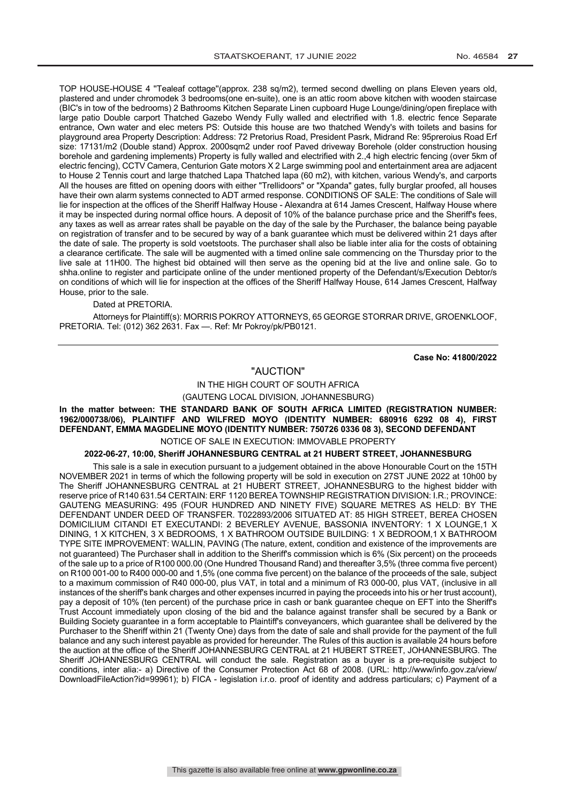TOP HOUSE-HOUSE 4 ''Tealeaf cottage''(approx. 238 sq/m2), termed second dwelling on plans Eleven years old, plastered and under chromodek 3 bedrooms(one en-suite), one is an attic room above kitchen with wooden staircase (BIC's in tow of the bedrooms) 2 Bathrooms Kitchen Separate Linen cupboard Huge Lounge/dining/open fireplace with large patio Double carport Thatched Gazebo Wendy Fully walled and electrified with 1.8. electric fence Separate entrance, Own water and elec meters PS: Outside this house are two thatched Wendy's with toilets and basins for playground area Property Description: Address: 72 Pretorius Road, President Pasrk, Midrand Re: 95preroius Road Erf size: 17131/m2 (Double stand) Approx. 2000sqm2 under roof Paved driveway Borehole (older construction housing borehole and gardening implements) Property is fully walled and electrified with 2.,4 high electric fencing (over 5km of electric fencing), CCTV Camera, Centurion Gate motors X 2 Large swimming pool and entertainment area are adjacent to House 2 Tennis court and large thatched Lapa Thatched lapa (60 m2), with kitchen, various Wendy's, and carports All the houses are fitted on opening doors with either "Trellidoors" or "Xpanda" gates, fully burglar proofed, all houses have their own alarm systems connected to ADT armed response. CONDITIONS OF SALE: The conditions of Sale will lie for inspection at the offices of the Sheriff Halfway House - Alexandra at 614 James Crescent, Halfway House where it may be inspected during normal office hours. A deposit of 10% of the balance purchase price and the Sheriff's fees, any taxes as well as arrear rates shall be payable on the day of the sale by the Purchaser, the balance being payable on registration of transfer and to be secured by way of a bank guarantee which must be delivered within 21 days after the date of sale. The property is sold voetstoots. The purchaser shall also be liable inter alia for the costs of obtaining a clearance certificate. The sale will be augmented with a timed online sale commencing on the Thursday prior to the live sale at 11H00. The highest bid obtained will then serve as the opening bid at the live and online sale. Go to shha.online to register and participate online of the under mentioned property of the Defendant/s/Execution Debtor/s on conditions of which will lie for inspection at the offices of the Sheriff Halfway House, 614 James Crescent, Halfway House, prior to the sale.

#### Dated at PRETORIA.

Attorneys for Plaintiff(s): MORRIS POKROY ATTORNEYS, 65 GEORGE STORRAR DRIVE, GROENKLOOF, PRETORIA. Tel: (012) 362 2631. Fax —. Ref: Mr Pokroy/pk/PB0121.

**Case No: 41800/2022**

## "AUCTION"

IN THE HIGH COURT OF SOUTH AFRICA

(GAUTENG LOCAL DIVISION, JOHANNESBURG)

**In the matter between: THE STANDARD BANK OF SOUTH AFRICA LIMITED (REGISTRATION NUMBER: 1962/000738/06), PLAINTIFF AND WILFRED MOYO (IDENTITY NUMBER: 680916 6292 08 4), FIRST DEFENDANT, EMMA MAGDELINE MOYO (IDENTITY NUMBER: 750726 0336 08 3), SECOND DEFENDANT**

## NOTICE OF SALE IN EXECUTION: IMMOVABLE PROPERTY

## **2022-06-27, 10:00, Sheriff JOHANNESBURG CENTRAL at 21 HUBERT STREET, JOHANNESBURG**

This sale is a sale in execution pursuant to a judgement obtained in the above Honourable Court on the 15TH NOVEMBER 2021 in terms of which the following property will be sold in execution on 27ST JUNE 2022 at 10h00 by The Sheriff JOHANNESBURG CENTRAL at 21 HUBERT STREET, JOHANNESBURG to the highest bidder with reserve price of R140 631.54 CERTAIN: ERF 1120 BEREA TOWNSHIP REGISTRATION DIVISION: I.R.; PROVINCE: GAUTENG MEASURING: 495 (FOUR HUNDRED AND NINETY FIVE) SQUARE METRES AS HELD: BY THE DEFENDANT UNDER DEED OF TRANSFER. T022893/2006 SITUATED AT: 85 HIGH STREET, BEREA CHOSEN DOMICILIUM CITANDI ET EXECUTANDI: 2 BEVERLEY AVENUE, BASSONIA INVENTORY: 1 X LOUNGE,1 X DINING, 1 X KITCHEN, 3 X BEDROOMS, 1 X BATHROOM OUTSIDE BUILDING: 1 X BEDROOM,1 X BATHROOM TYPE SITE IMPROVEMENT: WALLIN, PAVING (The nature, extent, condition and existence of the improvements are not guaranteed) The Purchaser shall in addition to the Sheriff's commission which is 6% (Six percent) on the proceeds of the sale up to a price of R100 000.00 (One Hundred Thousand Rand) and thereafter 3,5% (three comma five percent) on R100 001-00 to R400 000-00 and 1,5% (one comma five percent) on the balance of the proceeds of the sale, subject to a maximum commission of R40 000-00, plus VAT, in total and a minimum of R3 000-00, plus VAT, (inclusive in all instances of the sheriff's bank charges and other expenses incurred in paying the proceeds into his or her trust account), pay a deposit of 10% (ten percent) of the purchase price in cash or bank guarantee cheque on EFT into the Sheriff's Trust Account immediately upon closing of the bid and the balance against transfer shall be secured by a Bank or Building Society guarantee in a form acceptable to Plaintiff's conveyancers, which guarantee shall be delivered by the Purchaser to the Sheriff within 21 (Twenty One) days from the date of sale and shall provide for the payment of the full balance and any such interest payable as provided for hereunder. The Rules of this auction is available 24 hours before the auction at the office of the Sheriff JOHANNESBURG CENTRAL at 21 HUBERT STREET, JOHANNESBURG. The Sheriff JOHANNESBURG CENTRAL will conduct the sale. Registration as a buyer is a pre-requisite subject to conditions, inter alia:- a) Directive of the Consumer Protection Act 68 of 2008. (URL: http://www/info.gov.za/view/ DownloadFileAction?id=99961); b) FICA - legislation i.r.o. proof of identity and address particulars; c) Payment of a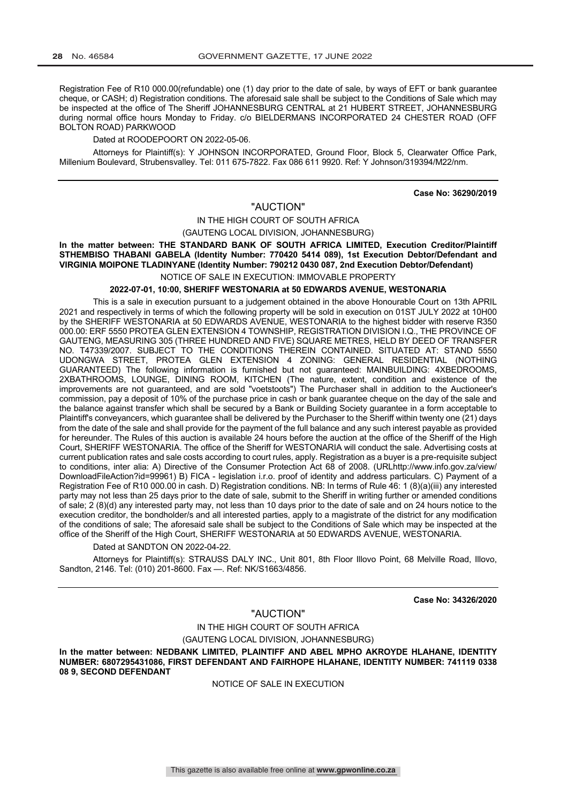Registration Fee of R10 000.00(refundable) one (1) day prior to the date of sale, by ways of EFT or bank guarantee cheque, or CASH; d) Registration conditions. The aforesaid sale shall be subject to the Conditions of Sale which may be inspected at the office of The Sheriff JOHANNESBURG CENTRAL at 21 HUBERT STREET, JOHANNESBURG during normal office hours Monday to Friday. c/o BIELDERMANS INCORPORATED 24 CHESTER ROAD (OFF BOLTON ROAD) PARKWOOD

## Dated at ROODEPOORT ON 2022-05-06.

Attorneys for Plaintiff(s): Y JOHNSON INCORPORATED, Ground Floor, Block 5, Clearwater Office Park, Millenium Boulevard, Strubensvalley. Tel: 011 675-7822. Fax 086 611 9920. Ref: Y Johnson/319394/M22/nm.

**Case No: 36290/2019**

## "AUCTION"

#### IN THE HIGH COURT OF SOUTH AFRICA

(GAUTENG LOCAL DIVISION, JOHANNESBURG)

**In the matter between: THE STANDARD BANK OF SOUTH AFRICA LIMITED, Execution Creditor/Plaintiff STHEMBISO THABANI GABELA (Identity Number: 770420 5414 089), 1st Execution Debtor/Defendant and VIRGINIA MOIPONE TLADINYANE (Identity Number: 790212 0430 087, 2nd Execution Debtor/Defendant)** NOTICE OF SALE IN EXECUTION: IMMOVABLE PROPERTY

## **2022-07-01, 10:00, SHERIFF WESTONARIA at 50 EDWARDS AVENUE, WESTONARIA**

This is a sale in execution pursuant to a judgement obtained in the above Honourable Court on 13th APRIL 2021 and respectively in terms of which the following property will be sold in execution on 01ST JULY 2022 at 10H00 by the SHERIFF WESTONARIA at 50 EDWARDS AVENUE, WESTONARIA to the highest bidder with reserve R350 000.00: ERF 5550 PROTEA GLEN EXTENSION 4 TOWNSHIP, REGISTRATION DIVISION I.Q., THE PROVINCE OF GAUTENG, MEASURING 305 (THREE HUNDRED AND FIVE) SQUARE METRES, HELD BY DEED OF TRANSFER NO. T47339/2007. SUBJECT TO THE CONDITIONS THEREIN CONTAINED. SITUATED AT: STAND 5550 UDONGWA STREET, PROTEA GLEN EXTENSION 4 ZONING: GENERAL RESIDENTIAL (NOTHING GUARANTEED) The following information is furnished but not guaranteed: MAINBUILDING: 4XBEDROOMS, 2XBATHROOMS, LOUNGE, DINING ROOM, KITCHEN (The nature, extent, condition and existence of the improvements are not guaranteed, and are sold "voetstoots") The Purchaser shall in addition to the Auctioneer's commission, pay a deposit of 10% of the purchase price in cash or bank guarantee cheque on the day of the sale and the balance against transfer which shall be secured by a Bank or Building Society guarantee in a form acceptable to Plaintiff's conveyancers, which guarantee shall be delivered by the Purchaser to the Sheriff within twenty one (21) days from the date of the sale and shall provide for the payment of the full balance and any such interest payable as provided for hereunder. The Rules of this auction is available 24 hours before the auction at the office of the Sheriff of the High Court, SHERIFF WESTONARIA. The office of the Sheriff for WESTONARIA will conduct the sale. Advertising costs at current publication rates and sale costs according to court rules, apply. Registration as a buyer is a pre-requisite subject to conditions, inter alia: A) Directive of the Consumer Protection Act 68 of 2008. (URLhttp://www.info.gov.za/view/ DownloadFileAction?id=99961) B) FICA - legislation i.r.o. proof of identity and address particulars. C) Payment of a Registration Fee of R10 000.00 in cash. D) Registration conditions. NB: In terms of Rule 46: 1 (8)(a)(iii) any interested party may not less than 25 days prior to the date of sale, submit to the Sheriff in writing further or amended conditions of sale; 2 (8)(d) any interested party may, not less than 10 days prior to the date of sale and on 24 hours notice to the execution creditor, the bondholder/s and all interested parties, apply to a magistrate of the district for any modification of the conditions of sale; The aforesaid sale shall be subject to the Conditions of Sale which may be inspected at the office of the Sheriff of the High Court, SHERIFF WESTONARIA at 50 EDWARDS AVENUE, WESTONARIA.

## Dated at SANDTON ON 2022-04-22.

Attorneys for Plaintiff(s): STRAUSS DALY INC., Unit 801, 8th Floor Illovo Point, 68 Melville Road, Illovo, Sandton, 2146. Tel: (010) 201-8600. Fax —. Ref: NK/S1663/4856.

**Case No: 34326/2020**

### "AUCTION"

IN THE HIGH COURT OF SOUTH AFRICA

(GAUTENG LOCAL DIVISION, JOHANNESBURG)

**In the matter between: NEDBANK LIMITED, PLAINTIFF AND ABEL MPHO AKROYDE HLAHANE, IDENTITY NUMBER: 6807295431086, FIRST DEFENDANT AND FAIRHOPE HLAHANE, IDENTITY NUMBER: 741119 0338 08 9, SECOND DEFENDANT**

NOTICE OF SALE IN EXECUTION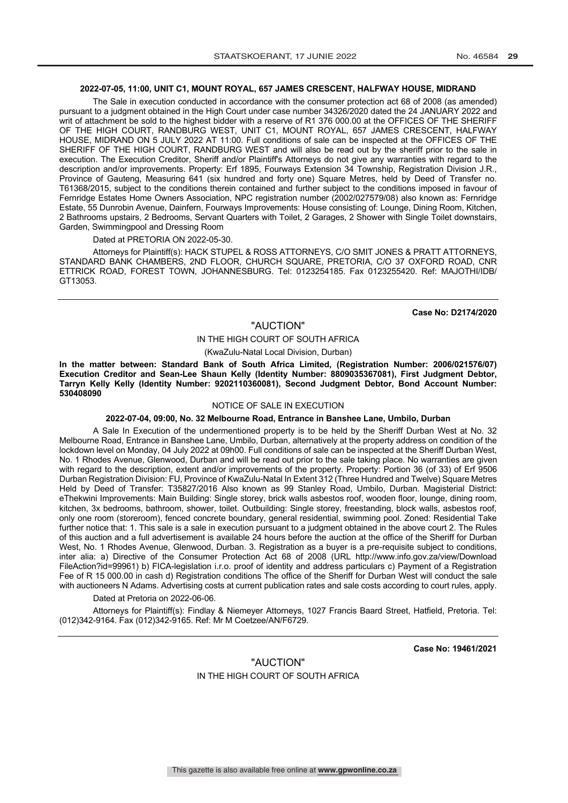#### **2022-07-05, 11:00, UNIT C1, MOUNT ROYAL, 657 JAMES CRESCENT, HALFWAY HOUSE, MIDRAND**

The Sale in execution conducted in accordance with the consumer protection act 68 of 2008 (as amended) pursuant to a judgment obtained in the High Court under case number 34326/2020 dated the 24 JANUARY 2022 and writ of attachment be sold to the highest bidder with a reserve of R1 376 000.00 at the OFFICES OF THE SHERIFF OF THE HIGH COURT, RANDBURG WEST, UNIT C1, MOUNT ROYAL, 657 JAMES CRESCENT, HALFWAY HOUSE, MIDRAND ON 5 JULY 2022 AT 11:00. Full conditions of sale can be inspected at the OFFICES OF THE SHERIFF OF THE HIGH COURT, RANDBURG WEST and will also be read out by the sheriff prior to the sale in execution. The Execution Creditor, Sheriff and/or Plaintiff's Attorneys do not give any warranties with regard to the description and/or improvements. Property: Erf 1895, Fourways Extension 34 Township, Registration Division J.R., Province of Gauteng, Measuring 641 (six hundred and forty one) Square Metres, held by Deed of Transfer no. T61368/2015, subject to the conditions therein contained and further subject to the conditions imposed in favour of Fernridge Estates Home Owners Association, NPC registration number (2002/027579/08) also known as: Fernridge Estate, 55 Dunrobin Avenue, Dainfern, Fourways Improvements: House consisting of: Lounge, Dining Room, Kitchen, 2 Bathrooms upstairs, 2 Bedrooms, Servant Quarters with Toilet, 2 Garages, 2 Shower with Single Toilet downstairs, Garden, Swimmingpool and Dressing Room

Dated at PRETORIA ON 2022-05-30.

Attorneys for Plaintiff(s): HACK STUPEL & ROSS ATTORNEYS, C/O SMIT JONES & PRATT ATTORNEYS, STANDARD BANK CHAMBERS, 2ND FLOOR, CHURCH SQUARE, PRETORIA, C/O 37 OXFORD ROAD, CNR ETTRICK ROAD, FOREST TOWN, JOHANNESBURG. Tel: 0123254185. Fax 0123255420. Ref: MAJOTHI/IDB/ GT13053.

**Case No: D2174/2020**

#### "AUCTION"

## IN THE HIGH COURT OF SOUTH AFRICA

(KwaZulu-Natal Local Division, Durban)

**In the matter between: Standard Bank of South Africa Limited, (Registration Number: 2006/021576/07) Execution Creditor and Sean-Lee Shaun Kelly (Identity Number: 8809035367081), First Judgment Debtor, Tarryn Kelly Kelly (Identity Number: 9202110360081), Second Judgment Debtor, Bond Account Number: 530408090**

#### NOTICE OF SALE IN EXECUTION

#### **2022-07-04, 09:00, No. 32 Melbourne Road, Entrance in Banshee Lane, Umbilo, Durban**

A Sale In Execution of the undermentioned property is to be held by the Sheriff Durban West at No. 32 Melbourne Road, Entrance in Banshee Lane, Umbilo, Durban, alternatively at the property address on condition of the lockdown level on Monday, 04 July 2022 at 09h00. Full conditions of sale can be inspected at the Sheriff Durban West, No. 1 Rhodes Avenue, Glenwood, Durban and will be read out prior to the sale taking place. No warranties are given with regard to the description, extent and/or improvements of the property. Property: Portion 36 (of 33) of Erf 9506 Durban Registration Division: FU, Province of KwaZulu-Natal In Extent 312 (Three Hundred and Twelve) Square Metres Held by Deed of Transfer: T35827/2016 Also known as 99 Stanley Road, Umbilo, Durban. Magisterial District: eThekwini Improvements: Main Building: Single storey, brick walls asbestos roof, wooden floor, lounge, dining room, kitchen, 3x bedrooms, bathroom, shower, toilet. Outbuilding: Single storey, freestanding, block walls, asbestos roof, only one room (storeroom), fenced concrete boundary, general residential, swimming pool. Zoned: Residential Take further notice that: 1. This sale is a sale in execution pursuant to a judgment obtained in the above court 2. The Rules of this auction and a full advertisement is available 24 hours before the auction at the office of the Sheriff for Durban West, No. 1 Rhodes Avenue, Glenwood, Durban. 3. Registration as a buyer is a pre-requisite subject to conditions, inter alia: a) Directive of the Consumer Protection Act 68 of 2008 (URL http://www.info.gov.za/view/Download FileAction?id=99961) b) FICA-legislation i.r.o. proof of identity and address particulars c) Payment of a Registration Fee of R 15 000.00 in cash d) Registration conditions The office of the Sheriff for Durban West will conduct the sale with auctioneers N Adams. Advertising costs at current publication rates and sale costs according to court rules, apply.

#### Dated at Pretoria on 2022-06-06.

Attorneys for Plaintiff(s): Findlay & Niemeyer Attorneys, 1027 Francis Baard Street, Hatfield, Pretoria. Tel: (012)342-9164. Fax (012)342-9165. Ref: Mr M Coetzee/AN/F6729.

**Case No: 19461/2021**

## "AUCTION" IN THE HIGH COURT OF SOUTH AFRICA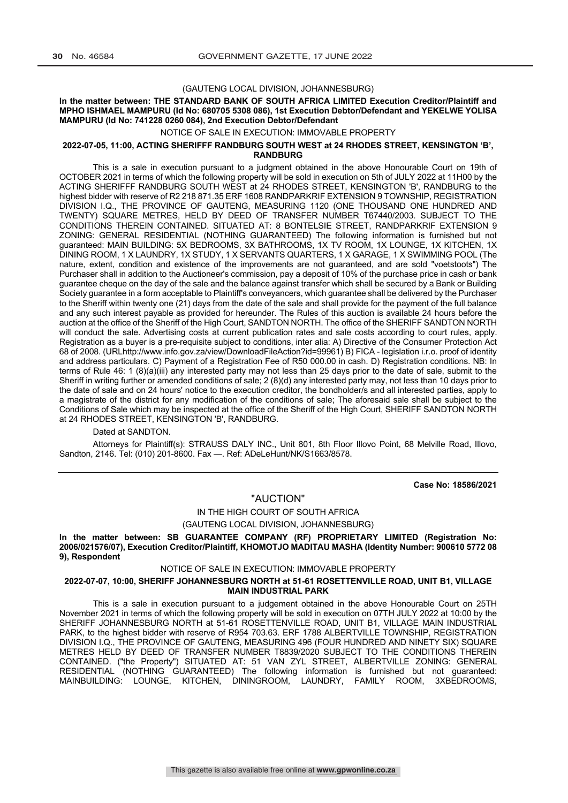#### (GAUTENG LOCAL DIVISION, JOHANNESBURG)

#### **In the matter between: THE STANDARD BANK OF SOUTH AFRICA LIMITED Execution Creditor/Plaintiff and MPHO ISHMAEL MAMPURU (Id No: 680705 5308 086), 1st Execution Debtor/Defendant and YEKELWE YOLISA MAMPURU (Id No: 741228 0260 084), 2nd Execution Debtor/Defendant**

#### NOTICE OF SALE IN EXECUTION: IMMOVABLE PROPERTY

#### **2022-07-05, 11:00, ACTING SHERIFFF RANDBURG SOUTH WEST at 24 RHODES STREET, KENSINGTON 'B', RANDBURG**

This is a sale in execution pursuant to a judgment obtained in the above Honourable Court on 19th of OCTOBER 2021 in terms of which the following property will be sold in execution on 5th of JULY 2022 at 11H00 by the ACTING SHERIFFF RANDBURG SOUTH WEST at 24 RHODES STREET, KENSINGTON 'B', RANDBURG to the highest bidder with reserve of R2 218 871.35 ERF 1608 RANDPARKRIF EXTENSION 9 TOWNSHIP, REGISTRATION DIVISION I.Q., THE PROVINCE OF GAUTENG, MEASURING 1120 (ONE THOUSAND ONE HUNDRED AND TWENTY) SQUARE METRES, HELD BY DEED OF TRANSFER NUMBER T67440/2003. SUBJECT TO THE CONDITIONS THEREIN CONTAINED. SITUATED AT: 8 BONTELSIE STREET, RANDPARKRIF EXTENSION 9 ZONING: GENERAL RESIDENTIAL (NOTHING GUARANTEED) The following information is furnished but not guaranteed: MAIN BUILDING: 5X BEDROOMS, 3X BATHROOMS, 1X TV ROOM, 1X LOUNGE, 1X KITCHEN, 1X DINING ROOM, 1 X LAUNDRY, 1X STUDY, 1 X SERVANTS QUARTERS, 1 X GARAGE, 1 X SWIMMING POOL (The nature, extent, condition and existence of the improvements are not guaranteed, and are sold "voetstoots") The Purchaser shall in addition to the Auctioneer's commission, pay a deposit of 10% of the purchase price in cash or bank guarantee cheque on the day of the sale and the balance against transfer which shall be secured by a Bank or Building Society guarantee in a form acceptable to Plaintiff's conveyancers, which guarantee shall be delivered by the Purchaser to the Sheriff within twenty one (21) days from the date of the sale and shall provide for the payment of the full balance and any such interest payable as provided for hereunder. The Rules of this auction is available 24 hours before the auction at the office of the Sheriff of the High Court, SANDTON NORTH. The office of the SHERIFF SANDTON NORTH will conduct the sale. Advertising costs at current publication rates and sale costs according to court rules, apply. Registration as a buyer is a pre-requisite subject to conditions, inter alia: A) Directive of the Consumer Protection Act 68 of 2008. (URLhttp://www.info.gov.za/view/DownloadFileAction?id=99961) B) FICA - legislation i.r.o. proof of identity and address particulars. C) Payment of a Registration Fee of R50 000.00 in cash. D) Registration conditions. NB: In terms of Rule 46: 1 (8)(a)(iii) any interested party may not less than 25 days prior to the date of sale, submit to the Sheriff in writing further or amended conditions of sale; 2 (8)(d) any interested party may, not less than 10 days prior to the date of sale and on 24 hours' notice to the execution creditor, the bondholder/s and all interested parties, apply to a magistrate of the district for any modification of the conditions of sale; The aforesaid sale shall be subject to the Conditions of Sale which may be inspected at the office of the Sheriff of the High Court, SHERIFF SANDTON NORTH at 24 RHODES STREET, KENSINGTON 'B', RANDBURG.

#### Dated at SANDTON.

Attorneys for Plaintiff(s): STRAUSS DALY INC., Unit 801, 8th Floor Illovo Point, 68 Melville Road, Illovo, Sandton, 2146. Tel: (010) 201-8600. Fax —. Ref: ADeLeHunt/NK/S1663/8578.

**Case No: 18586/2021**

#### "AUCTION"

## IN THE HIGH COURT OF SOUTH AFRICA

(GAUTENG LOCAL DIVISION, JOHANNESBURG)

**In the matter between: SB GUARANTEE COMPANY (RF) PROPRIETARY LIMITED (Registration No: 2006/021576/07), Execution Creditor/Plaintiff, KHOMOTJO MADITAU MASHA (Identity Number: 900610 5772 08 9), Respondent**

NOTICE OF SALE IN EXECUTION: IMMOVABLE PROPERTY

#### **2022-07-07, 10:00, SHERIFF JOHANNESBURG NORTH at 51-61 ROSETTENVILLE ROAD, UNIT B1, VILLAGE MAIN INDUSTRIAL PARK**

This is a sale in execution pursuant to a judgement obtained in the above Honourable Court on 25TH November 2021 in terms of which the following property will be sold in execution on 07TH JULY 2022 at 10:00 by the SHERIFF JOHANNESBURG NORTH at 51-61 ROSETTENVILLE ROAD, UNIT B1, VILLAGE MAIN INDUSTRIAL PARK, to the highest bidder with reserve of R954 703.63. ERF 1788 ALBERTVILLE TOWNSHIP, REGISTRATION DIVISION I.Q., THE PROVINCE OF GAUTENG, MEASURING 496 (FOUR HUNDRED AND NINETY SIX) SQUARE METRES HELD BY DEED OF TRANSFER NUMBER T8839/2020 SUBJECT TO THE CONDITIONS THEREIN CONTAINED. ("the Property") SITUATED AT: 51 VAN ZYL STREET, ALBERTVILLE ZONING: GENERAL RESIDENTIAL (NOTHING GUARANTEED) The following information is furnished but not guaranteed: MAINBUILDING: LOUNGE, KITCHEN, DININGROOM, LAUNDRY, FAMILY ROOM, 3XBEDROOMS,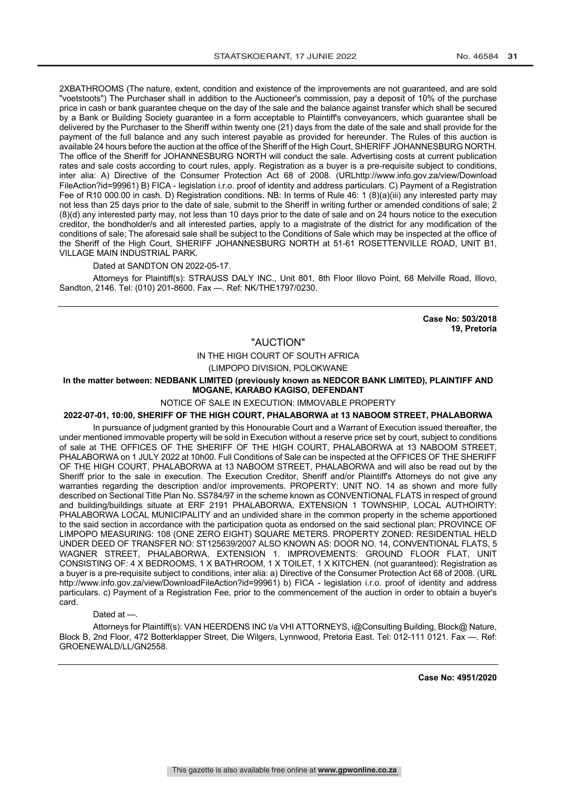2XBATHROOMS (The nature, extent, condition and existence of the improvements are not guaranteed, and are sold "voetstoots") The Purchaser shall in addition to the Auctioneer's commission, pay a deposit of 10% of the purchase price in cash or bank guarantee cheque on the day of the sale and the balance against transfer which shall be secured by a Bank or Building Society guarantee in a form acceptable to Plaintiff's conveyancers, which guarantee shall be delivered by the Purchaser to the Sheriff within twenty one (21) days from the date of the sale and shall provide for the payment of the full balance and any such interest payable as provided for hereunder. The Rules of this auction is available 24 hours before the auction at the office of the Sheriff of the High Court, SHERIFF JOHANNESBURG NORTH. The office of the Sheriff for JOHANNESBURG NORTH will conduct the sale. Advertising costs at current publication rates and sale costs according to court rules, apply. Registration as a buyer is a pre-requisite subject to conditions, inter alia: A) Directive of the Consumer Protection Act 68 of 2008. (URLhttp://www.info.gov.za/view/Download FileAction?id=99961) B) FICA - legislation i.r.o. proof of identity and address particulars. C) Payment of a Registration Fee of R10 000.00 in cash. D) Registration conditions. NB: In terms of Rule 46: 1 (8)(a)(iii) any interested party may not less than 25 days prior to the date of sale, submit to the Sheriff in writing further or amended conditions of sale; 2 (8)(d) any interested party may, not less than 10 days prior to the date of sale and on 24 hours notice to the execution creditor, the bondholder/s and all interested parties, apply to a magistrate of the district for any modification of the conditions of sale; The aforesaid sale shall be subject to the Conditions of Sale which may be inspected at the office of the Sheriff of the High Court, SHERIFF JOHANNESBURG NORTH at 51-61 ROSETTENVILLE ROAD, UNIT B1, VILLAGE MAIN INDUSTRIAL PARK.

#### Dated at SANDTON ON 2022-05-17.

Attorneys for Plaintiff(s): STRAUSS DALY INC., Unit 801, 8th Floor Illovo Point, 68 Melville Road, Illovo, Sandton, 2146. Tel: (010) 201-8600. Fax —. Ref: NK/THE1797/0230.

> **Case No: 503/2018 19, Pretoria**

## "AUCTION"

IN THE HIGH COURT OF SOUTH AFRICA

(LIMPOPO DIVISION, POLOKWANE

**In the matter between: NEDBANK LIMITED (previously known as NEDCOR BANK LIMITED), PLAINTIFF AND MOGANE, KARABO KAGISO, DEFENDANT**

NOTICE OF SALE IN EXECUTION: IMMOVABLE PROPERTY

#### **2022-07-01, 10:00, SHERIFF OF THE HIGH COURT, PHALABORWA at 13 NABOOM STREET, PHALABORWA**

In pursuance of judgment granted by this Honourable Court and a Warrant of Execution issued thereafter, the under mentioned immovable property will be sold in Execution without a reserve price set by court, subject to conditions of sale at THE OFFICES OF THE SHERIFF OF THE HIGH COURT, PHALABORWA at 13 NABOOM STREET, PHALABORWA on 1 JULY 2022 at 10h00. Full Conditions of Sale can be inspected at the OFFICES OF THE SHERIFF OF THE HIGH COURT, PHALABORWA at 13 NABOOM STREET, PHALABORWA and will also be read out by the Sheriff prior to the sale in execution. The Execution Creditor, Sheriff and/or Plaintiff's Attorneys do not give any warranties regarding the description and/or improvements. PROPERTY: UNIT NO. 14 as shown and more fully described on Sectional Title Plan No. SS784/97 in the scheme known as CONVENTIONAL FLATS in respect of ground and building/buildings situate at ERF 2191 PHALABORWA, EXTENSION 1 TOWNSHIP, LOCAL AUTHOIRTY: PHALABORWA LOCAL MUNICIPALITY and an undivided share in the common property in the scheme apportioned to the said section in accordance with the participation quota as endorsed on the said sectional plan; PROVINCE OF LIMPOPO MEASURING: 108 (ONE ZERO EIGHT) SQUARE METERS. PROPERTY ZONED: RESIDENTIAL HELD UNDER DEED OF TRANSFER NO: ST125639/2007 ALSO KNOWN AS: DOOR NO. 14, CONVENTIONAL FLATS, 5 WAGNER STREET, PHALABORWA, EXTENSION 1. IMPROVEMENTS: GROUND FLOOR FLAT, UNIT CONSISTING OF: 4 X BEDROOMS, 1 X BATHROOM, 1 X TOILET, 1 X KITCHEN. (not guaranteed): Registration as a buyer is a pre-requisite subject to conditions, inter alia: a) Directive of the Consumer Protection Act 68 of 2008. (URL http://www.info.gov.za/view/DownloadFileAction?id=99961) b) FICA - legislation i.r.o. proof of identity and address particulars. c) Payment of a Registration Fee, prior to the commencement of the auction in order to obtain a buyer's card.

#### Dated at —

Attorneys for Plaintiff(s): VAN HEERDENS INC t/a VHI ATTORNEYS, i@Consulting Building, Block@ Nature, Block B, 2nd Floor, 472 Botterklapper Street, Die Wilgers, Lynnwood, Pretoria East. Tel: 012-111 0121. Fax —. Ref: GROENEWALD/LL/GN2558.

**Case No: 4951/2020**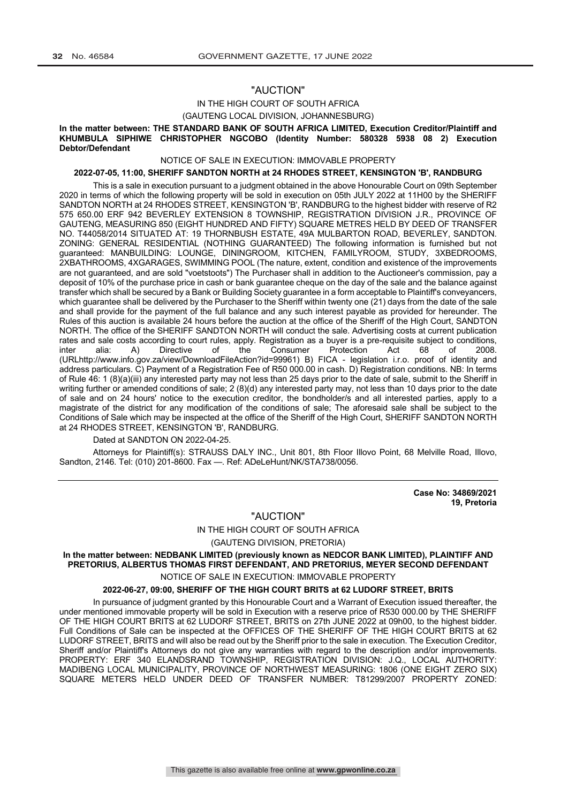## "AUCTION"

#### IN THE HIGH COURT OF SOUTH AFRICA

#### (GAUTENG LOCAL DIVISION, JOHANNESBURG)

#### **In the matter between: THE STANDARD BANK OF SOUTH AFRICA LIMITED, Execution Creditor/Plaintiff and KHUMBULA SIPHIWE CHRISTOPHER NGCOBO (Identity Number: 580328 5938 08 2) Execution Debtor/Defendant**

#### NOTICE OF SALE IN EXECUTION: IMMOVABLE PROPERTY

#### **2022-07-05, 11:00, SHERIFF SANDTON NORTH at 24 RHODES STREET, KENSINGTON 'B', RANDBURG**

This is a sale in execution pursuant to a judgment obtained in the above Honourable Court on 09th September 2020 in terms of which the following property will be sold in execution on 05th JULY 2022 at 11H00 by the SHERIFF SANDTON NORTH at 24 RHODES STREET, KENSINGTON 'B', RANDBURG to the highest bidder with reserve of R2 575 650.00 ERF 942 BEVERLEY EXTENSION 8 TOWNSHIP, REGISTRATION DIVISION J.R., PROVINCE OF GAUTENG, MEASURING 850 (EIGHT HUNDRED AND FIFTY) SQUARE METRES HELD BY DEED OF TRANSFER NO. T44058/2014 SITUATED AT: 19 THORNBUSH ESTATE, 49A MULBARTON ROAD, BEVERLEY, SANDTON. ZONING: GENERAL RESIDENTIAL (NOTHING GUARANTEED) The following information is furnished but not guaranteed: MANBUILDING: LOUNGE, DININGROOM, KITCHEN, FAMILYROOM, STUDY, 3XBEDROOMS, 2XBATHROOMS, 4XGARAGES, SWIMMING POOL (The nature, extent, condition and existence of the improvements are not guaranteed, and are sold "voetstoots") The Purchaser shall in addition to the Auctioneer's commission, pay a deposit of 10% of the purchase price in cash or bank guarantee cheque on the day of the sale and the balance against transfer which shall be secured by a Bank or Building Society guarantee in a form acceptable to Plaintiff's conveyancers, which guarantee shall be delivered by the Purchaser to the Sheriff within twenty one (21) days from the date of the sale and shall provide for the payment of the full balance and any such interest payable as provided for hereunder. The Rules of this auction is available 24 hours before the auction at the office of the Sheriff of the High Court, SANDTON NORTH. The office of the SHERIFF SANDTON NORTH will conduct the sale. Advertising costs at current publication rates and sale costs according to court rules, apply. Registration as a buyer is a pre-requisite subject to conditions, inter alia: A) Directive of the Consumer Protection Act 68 of 2008. inter alia: A) Directive of the Consumer Protection Act 68 of 2008. (URLhttp://www.info.gov.za/view/DownloadFileAction?id=99961) B) FICA - legislation i.r.o. proof of identity and address particulars. C) Payment of a Registration Fee of R50 000.00 in cash. D) Registration conditions. NB: In terms of Rule 46: 1 (8)(a)(iii) any interested party may not less than 25 days prior to the date of sale, submit to the Sheriff in writing further or amended conditions of sale; 2 (8)(d) any interested party may, not less than 10 days prior to the date of sale and on 24 hours' notice to the execution creditor, the bondholder/s and all interested parties, apply to a magistrate of the district for any modification of the conditions of sale; The aforesaid sale shall be subject to the Conditions of Sale which may be inspected at the office of the Sheriff of the High Court, SHERIFF SANDTON NORTH at 24 RHODES STREET, KENSINGTON 'B', RANDBURG.

#### Dated at SANDTON ON 2022-04-25.

Attorneys for Plaintiff(s): STRAUSS DALY INC., Unit 801, 8th Floor Illovo Point, 68 Melville Road, Illovo, Sandton, 2146. Tel: (010) 201-8600. Fax —. Ref: ADeLeHunt/NK/STA738/0056.

> **Case No: 34869/2021 19, Pretoria**

### "AUCTION"

#### IN THE HIGH COURT OF SOUTH AFRICA

(GAUTENG DIVISION, PRETORIA)

## **In the matter between: NEDBANK LIMITED (previously known as NEDCOR BANK LIMITED), PLAINTIFF AND PRETORIUS, ALBERTUS THOMAS FIRST DEFENDANT, AND PRETORIUS, MEYER SECOND DEFENDANT**

#### NOTICE OF SALE IN EXECUTION: IMMOVABLE PROPERTY

## **2022-06-27, 09:00, SHERIFF OF THE HIGH COURT BRITS at 62 LUDORF STREET, BRITS**

In pursuance of judgment granted by this Honourable Court and a Warrant of Execution issued thereafter, the under mentioned immovable property will be sold in Execution with a reserve price of R530 000.00 by THE SHERIFF OF THE HIGH COURT BRITS at 62 LUDORF STREET, BRITS on 27th JUNE 2022 at 09h00, to the highest bidder. Full Conditions of Sale can be inspected at the OFFICES OF THE SHERIFF OF THE HIGH COURT BRITS at 62 LUDORF STREET, BRITS and will also be read out by the Sheriff prior to the sale in execution. The Execution Creditor, Sheriff and/or Plaintiff's Attorneys do not give any warranties with regard to the description and/or improvements. PROPERTY: ERF 340 ELANDSRAND TOWNSHIP, REGISTRATION DIVISION: J.Q., LOCAL AUTHORITY: MADIBENG LOCAL MUNICIPALITY, PROVINCE OF NORTHWEST MEASURING: 1806 (ONE EIGHT ZERO SIX) SQUARE METERS HELD UNDER DEED OF TRANSFER NUMBER: T81299/2007 PROPERTY ZONED: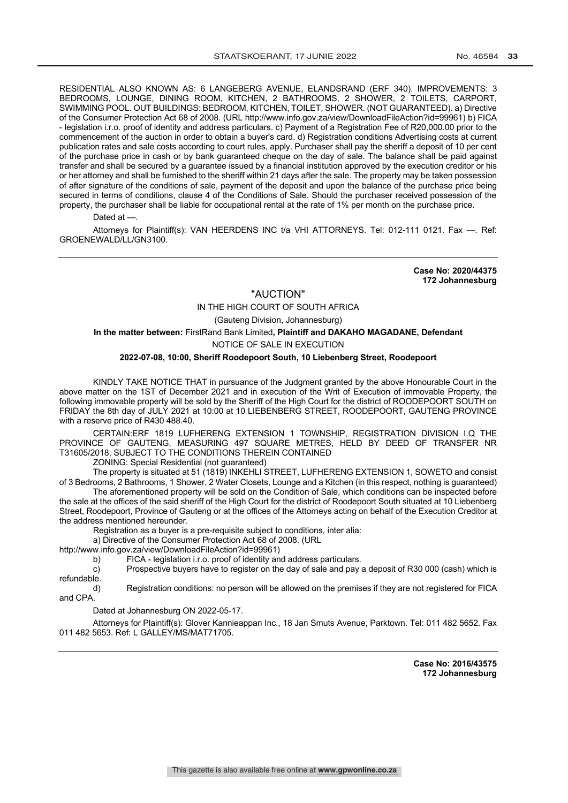RESIDENTIAL ALSO KNOWN AS: 6 LANGEBERG AVENUE, ELANDSRAND (ERF 340). IMPROVEMENTS: 3 BEDROOMS, LOUNGE, DINING ROOM, KITCHEN, 2 BATHROOMS, 2 SHOWER, 2 TOILETS, CARPORT, SWIMMING POOL. OUT BUILDINGS: BEDROOM, KITCHEN, TOILET, SHOWER. (NOT GUARANTEED). a) Directive of the Consumer Protection Act 68 of 2008. (URL http://www.info.gov.za/view/DownloadFileAction?id=99961) b) FICA - legislation i.r.o. proof of identity and address particulars. c) Payment of a Registration Fee of R20,000.00 prior to the commencement of the auction in order to obtain a buyer's card. d) Registration conditions Advertising costs at current publication rates and sale costs according to court rules, apply. Purchaser shall pay the sheriff a deposit of 10 per cent of the purchase price in cash or by bank guaranteed cheque on the day of sale. The balance shall be paid against transfer and shall be secured by a guarantee issued by a financial institution approved by the execution creditor or his or her attorney and shall be furnished to the sheriff within 21 days after the sale. The property may be taken possession of after signature of the conditions of sale, payment of the deposit and upon the balance of the purchase price being secured in terms of conditions, clause 4 of the Conditions of Sale. Should the purchaser received possession of the property, the purchaser shall be liable for occupational rental at the rate of 1% per month on the purchase price.

Dated at .

Attorneys for Plaintiff(s): VAN HEERDENS INC t/a VHI ATTORNEYS. Tel: 012-111 0121. Fax —. Ref: GROENEWALD/LL/GN3100.

> **Case No: 2020/44375 172 Johannesburg**

#### "AUCTION"

### IN THE HIGH COURT OF SOUTH AFRICA

(Gauteng Division, Johannesburg)

#### **In the matter between:** FirstRand Bank Limited**, Plaintiff and DAKAHO MAGADANE, Defendant**

NOTICE OF SALE IN EXECUTION

#### **2022-07-08, 10:00, Sheriff Roodepoort South, 10 Liebenberg Street, Roodepoort**

KINDLY TAKE NOTICE THAT in pursuance of the Judgment granted by the above Honourable Court in the above matter on the 1ST of December 2021 and in execution of the Writ of Execution of immovable Property, the following immovable property will be sold by the Sheriff of the High Court for the district of ROODEPOORT SOUTH on FRIDAY the 8th day of JULY 2021 at 10:00 at 10 LIEBENBERG STREET, ROODEPOORT, GAUTENG PROVINCE with a reserve price of R430 488.40.

CERTAIN:ERF 1819 LUFHERENG EXTENSION 1 TOWNSHIP, REGISTRATION DIVISION I.Q THE PROVINCE OF GAUTENG, MEASURING 497 SQUARE METRES, HELD BY DEED OF TRANSFER NR T31605/2018, SUBJECT TO THE CONDITIONS THEREIN CONTAINED

ZONING: Special Residential (not guaranteed)

The property is situated at 51 (1819) INKEHLI STREET, LUFHERENG EXTENSION 1, SOWETO and consist of 3 Bedrooms, 2 Bathrooms, 1 Shower, 2 Water Closets, Lounge and a Kitchen (in this respect, nothing is guaranteed)

The aforementioned property will be sold on the Condition of Sale, which conditions can be inspected before the sale at the offices of the said sheriff of the High Court for the district of Roodepoort South situated at 10 Liebenberg Street, Roodepoort, Province of Gauteng or at the offices of the Attorneys acting on behalf of the Execution Creditor at the address mentioned hereunder.

Registration as a buyer is a pre-requisite subject to conditions, inter alia:

a) Directive of the Consumer Protection Act 68 of 2008. (URL

http://www.info.gov.za/view/DownloadFileAction?id=99961)

b) FICA - legislation i.r.o. proof of identity and address particulars.

c) Prospective buyers have to register on the day of sale and pay a deposit of R30 000 (cash) which is refundable.

d) Registration conditions: no person will be allowed on the premises if they are not registered for FICA and CPA.

Dated at Johannesburg ON 2022-05-17.

Attorneys for Plaintiff(s): Glover Kannieappan Inc., 18 Jan Smuts Avenue, Parktown. Tel: 011 482 5652. Fax 011 482 5653. Ref: L GALLEY/MS/MAT71705.

> **Case No: 2016/43575 172 Johannesburg**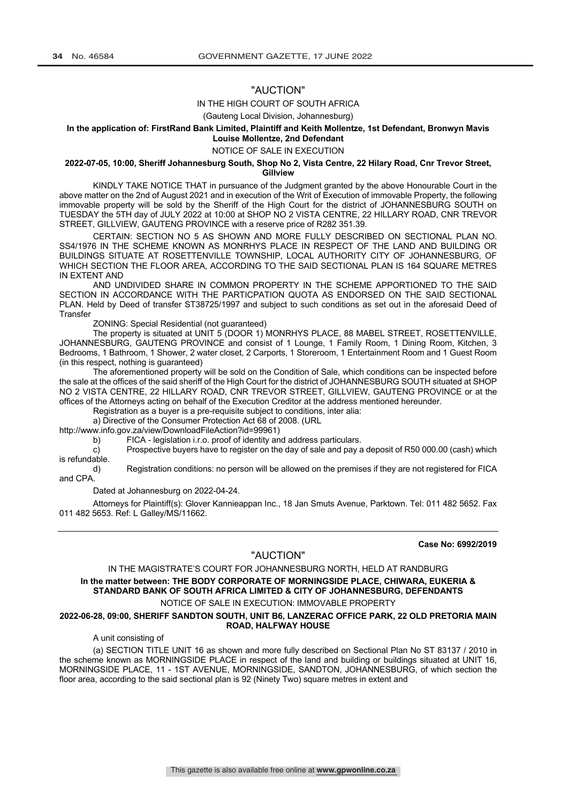## "AUCTION"

#### IN THE HIGH COURT OF SOUTH AFRICA

(Gauteng Local Division, Johannesburg)

#### **In the application of: FirstRand Bank Limited, Plaintiff and Keith Mollentze, 1st Defendant, Bronwyn Mavis Louise Mollentze, 2nd Defendant**

NOTICE OF SALE IN EXECUTION

#### **2022-07-05, 10:00, Sheriff Johannesburg South, Shop No 2, Vista Centre, 22 Hilary Road, Cnr Trevor Street, Gillview**

KINDLY TAKE NOTICE THAT in pursuance of the Judgment granted by the above Honourable Court in the above matter on the 2nd of August 2021 and in execution of the Writ of Execution of immovable Property, the following immovable property will be sold by the Sheriff of the High Court for the district of JOHANNESBURG SOUTH on TUESDAY the 5TH day of JULY 2022 at 10:00 at SHOP NO 2 VISTA CENTRE, 22 HILLARY ROAD, CNR TREVOR STREET, GILLVIEW, GAUTENG PROVINCE with a reserve price of R282 351.39.

CERTAIN: SECTION NO 5 AS SHOWN AND MORE FULLY DESCRIBED ON SECTIONAL PLAN NO. SS4/1976 IN THE SCHEME KNOWN AS MONRHYS PLACE IN RESPECT OF THE LAND AND BUILDING OR BUILDINGS SITUATE AT ROSETTENVILLE TOWNSHIP, LOCAL AUTHORITY CITY OF JOHANNESBURG, OF WHICH SECTION THE FLOOR AREA, ACCORDING TO THE SAID SECTIONAL PLAN IS 164 SQUARE METRES IN EXTENT AND

AND UNDIVIDED SHARE IN COMMON PROPERTY IN THE SCHEME APPORTIONED TO THE SAID SECTION IN ACCORDANCE WITH THE PARTICPATION QUOTA AS ENDORSED ON THE SAID SECTIONAL PLAN. Held by Deed of transfer ST38725/1997 and subject to such conditions as set out in the aforesaid Deed of **Transfer** 

ZONING: Special Residential (not guaranteed)

The property is situated at UNIT 5 (DOOR 1) MONRHYS PLACE, 88 MABEL STREET, ROSETTENVILLE, JOHANNESBURG, GAUTENG PROVINCE and consist of 1 Lounge, 1 Family Room, 1 Dining Room, Kitchen, 3 Bedrooms, 1 Bathroom, 1 Shower, 2 water closet, 2 Carports, 1 Storeroom, 1 Entertainment Room and 1 Guest Room (in this respect, nothing is guaranteed)

The aforementioned property will be sold on the Condition of Sale, which conditions can be inspected before the sale at the offices of the said sheriff of the High Court for the district of JOHANNESBURG SOUTH situated at SHOP NO 2 VISTA CENTRE, 22 HILLARY ROAD, CNR TREVOR STREET, GILLVIEW, GAUTENG PROVINCE or at the offices of the Attorneys acting on behalf of the Execution Creditor at the address mentioned hereunder.

Registration as a buyer is a pre-requisite subject to conditions, inter alia:

a) Directive of the Consumer Protection Act 68 of 2008. (URL

http://www.info.gov.za/view/DownloadFileAction?id=99961)

b) FICA - legislation i.r.o. proof of identity and address particulars.

c) Prospective buyers have to register on the day of sale and pay a deposit of R50 000.00 (cash) which is refundable.

d) Registration conditions: no person will be allowed on the premises if they are not registered for FICA and CPA.

Dated at Johannesburg on 2022-04-24.

Attorneys for Plaintiff(s): Glover Kannieappan Inc., 18 Jan Smuts Avenue, Parktown. Tel: 011 482 5652. Fax 011 482 5653. Ref: L Galley/MS/11662.

**Case No: 6992/2019**

## "AUCTION"

IN THE MAGISTRATE'S COURT FOR JOHANNESBURG NORTH, HELD AT RANDBURG

**In the matter between: THE BODY CORPORATE OF MORNINGSIDE PLACE, CHIWARA, EUKERIA & STANDARD BANK OF SOUTH AFRICA LIMITED & CITY OF JOHANNESBURG, DEFENDANTS**

## NOTICE OF SALE IN EXECUTION: IMMOVABLE PROPERTY

#### **2022-06-28, 09:00, SHERIFF SANDTON SOUTH, UNIT B6, LANZERAC OFFICE PARK, 22 OLD PRETORIA MAIN ROAD, HALFWAY HOUSE**

A unit consisting of

(a) SECTION TITLE UNIT 16 as shown and more fully described on Sectional Plan No ST 83137 / 2010 in the scheme known as MORNINGSIDE PLACE in respect of the land and building or buildings situated at UNIT 16, MORNINGSIDE PLACE, 11 - 1ST AVENUE, MORNINGSIDE, SANDTON, JOHANNESBURG, of which section the floor area, according to the said sectional plan is 92 (Ninety Two) square metres in extent and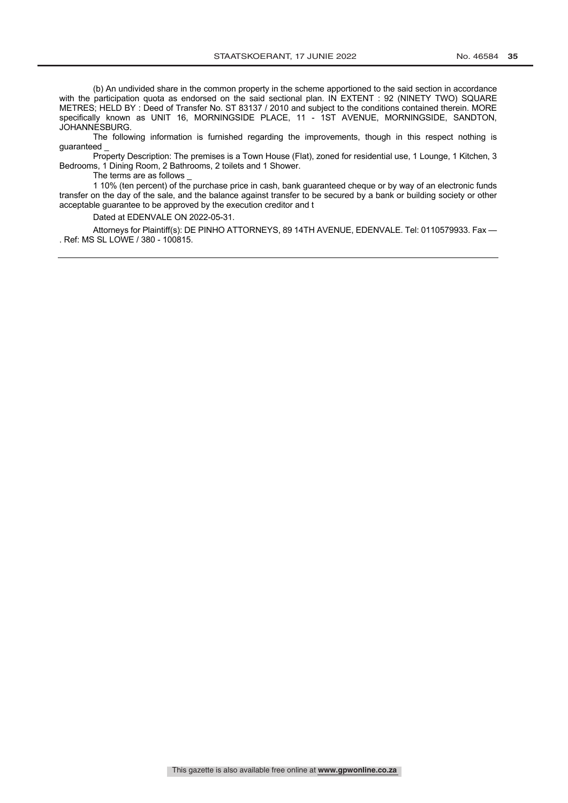(b) An undivided share in the common property in the scheme apportioned to the said section in accordance with the participation quota as endorsed on the said sectional plan. IN EXTENT : 92 (NINETY TWO) SQUARE METRES; HELD BY : Deed of Transfer No. ST 83137 / 2010 and subject to the conditions contained therein. MORE specifically known as UNIT 16, MORNINGSIDE PLACE, 11 - 1ST AVENUE, MORNINGSIDE, SANDTON, JOHANNESBURG.

The following information is furnished regarding the improvements, though in this respect nothing is guaranteed \_

Property Description: The premises is a Town House (Flat), zoned for residential use, 1 Lounge, 1 Kitchen, 3 Bedrooms, 1 Dining Room, 2 Bathrooms, 2 toilets and 1 Shower.

The terms are as follows \_

1 10% (ten percent) of the purchase price in cash, bank guaranteed cheque or by way of an electronic funds transfer on the day of the sale, and the balance against transfer to be secured by a bank or building society or other acceptable guarantee to be approved by the execution creditor and t

Dated at EDENVALE ON 2022-05-31.

Attorneys for Plaintiff(s): DE PINHO ATTORNEYS, 89 14TH AVENUE, EDENVALE. Tel: 0110579933. Fax — . Ref: MS SL LOWE / 380 - 100815.